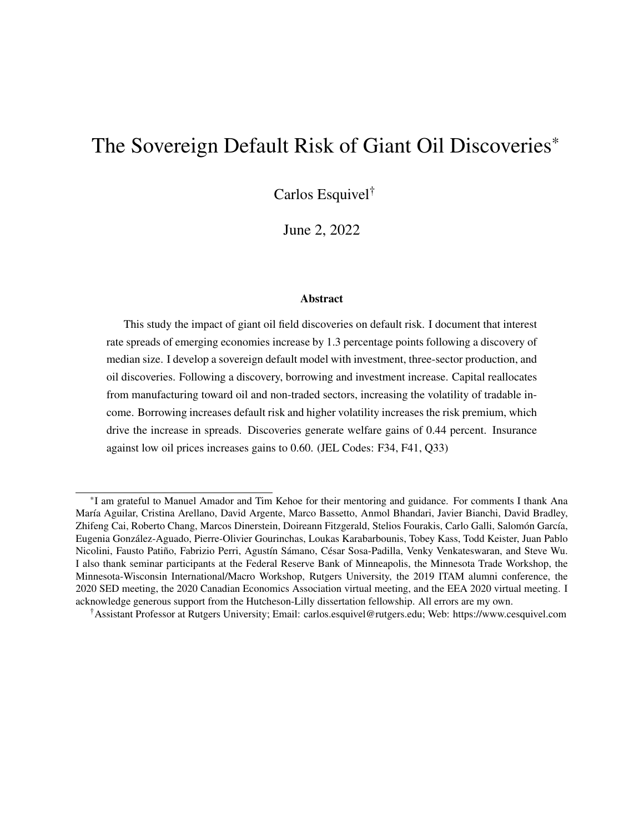# <span id="page-0-0"></span>The Sovereign Default Risk of Giant Oil Discoveries\*

Carlos Esquivel†

June 2, 2022

#### Abstract

This study the impact of giant oil field discoveries on default risk. I document that interest rate spreads of emerging economies increase by 1.3 percentage points following a discovery of median size. I develop a sovereign default model with investment, three-sector production, and oil discoveries. Following a discovery, borrowing and investment increase. Capital reallocates from manufacturing toward oil and non-traded sectors, increasing the volatility of tradable income. Borrowing increases default risk and higher volatility increases the risk premium, which drive the increase in spreads. Discoveries generate welfare gains of 0.44 percent. Insurance against low oil prices increases gains to 0.60. (JEL Codes: F34, F41, Q33)

<sup>\*</sup>I am grateful to Manuel Amador and Tim Kehoe for their mentoring and guidance. For comments I thank Ana María Aguilar, Cristina Arellano, David Argente, Marco Bassetto, Anmol Bhandari, Javier Bianchi, David Bradley, Zhifeng Cai, Roberto Chang, Marcos Dinerstein, Doireann Fitzgerald, Stelios Fourakis, Carlo Galli, Salomón García, Eugenia González-Aguado, Pierre-Olivier Gourinchas, Loukas Karabarbounis, Tobey Kass, Todd Keister, Juan Pablo Nicolini, Fausto Patiño, Fabrizio Perri, Agustín Sámano, César Sosa-Padilla, Venky Venkateswaran, and Steve Wu. I also thank seminar participants at the Federal Reserve Bank of Minneapolis, the Minnesota Trade Workshop, the Minnesota-Wisconsin International/Macro Workshop, Rutgers University, the 2019 ITAM alumni conference, the 2020 SED meeting, the 2020 Canadian Economics Association virtual meeting, and the EEA 2020 virtual meeting. I acknowledge generous support from the Hutcheson-Lilly dissertation fellowship. All errors are my own.

<sup>†</sup>Assistant Professor at Rutgers University; Email: carlos.esquivel@rutgers.edu; Web: https://www.cesquivel.com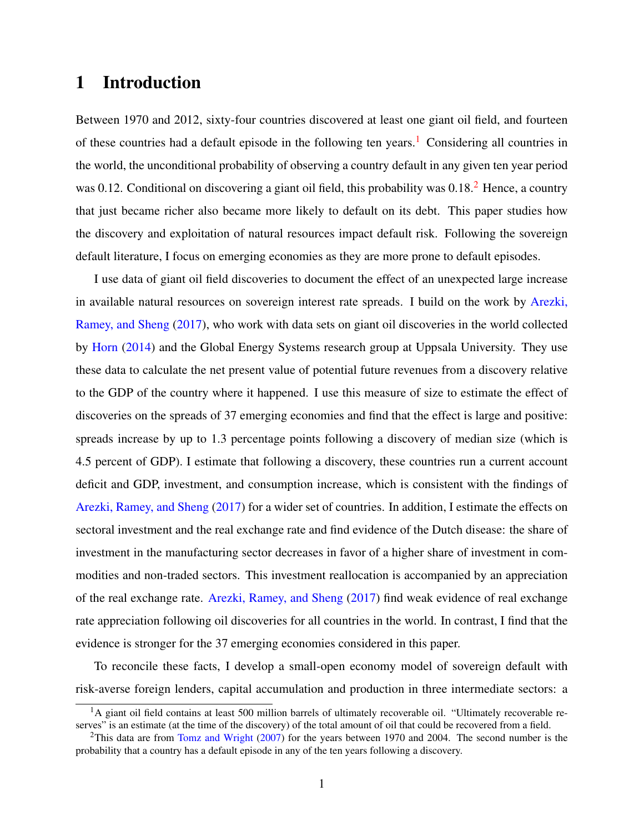## 1 Introduction

Between 1970 and 2012, sixty-four countries discovered at least one giant oil field, and fourteen of these countries had a default episode in the following ten years.<sup>[1](#page-1-0)</sup> Considering all countries in the world, the unconditional probability of observing a country default in any given ten year period was 0.1[2](#page-1-1). Conditional on discovering a giant oil field, this probability was  $0.18<sup>2</sup>$  Hence, a country that just became richer also became more likely to default on its debt. This paper studies how the discovery and exploitation of natural resources impact default risk. Following the sovereign default literature, I focus on emerging economies as they are more prone to default episodes.

I use data of giant oil field discoveries to document the effect of an unexpected large increase in available natural resources on sovereign interest rate spreads. I build on the work by [Arezki,](#page-40-0) [Ramey, and Sheng](#page-40-0) [\(2017\)](#page-40-0), who work with data sets on giant oil discoveries in the world collected by [Horn](#page-42-0) [\(2014\)](#page-42-0) and the Global Energy Systems research group at Uppsala University. They use these data to calculate the net present value of potential future revenues from a discovery relative to the GDP of the country where it happened. I use this measure of size to estimate the effect of discoveries on the spreads of 37 emerging economies and find that the effect is large and positive: spreads increase by up to 1.3 percentage points following a discovery of median size (which is 4.5 percent of GDP). I estimate that following a discovery, these countries run a current account deficit and GDP, investment, and consumption increase, which is consistent with the findings of [Arezki, Ramey, and Sheng](#page-40-0) [\(2017\)](#page-40-0) for a wider set of countries. In addition, I estimate the effects on sectoral investment and the real exchange rate and find evidence of the Dutch disease: the share of investment in the manufacturing sector decreases in favor of a higher share of investment in commodities and non-traded sectors. This investment reallocation is accompanied by an appreciation of the real exchange rate. [Arezki, Ramey, and Sheng](#page-40-0) [\(2017\)](#page-40-0) find weak evidence of real exchange rate appreciation following oil discoveries for all countries in the world. In contrast, I find that the evidence is stronger for the 37 emerging economies considered in this paper.

To reconcile these facts, I develop a small-open economy model of sovereign default with risk-averse foreign lenders, capital accumulation and production in three intermediate sectors: a

<span id="page-1-0"></span><sup>&</sup>lt;sup>1</sup>A giant oil field contains at least 500 million barrels of ultimately recoverable oil. "Ultimately recoverable reserves" is an estimate (at the time of the discovery) of the total amount of oil that could be recovered from a field.

<span id="page-1-1"></span><sup>&</sup>lt;sup>2</sup>This data are from [Tomz and Wright](#page-43-0) [\(2007\)](#page-43-0) for the years between 1970 and 2004. The second number is the probability that a country has a default episode in any of the ten years following a discovery.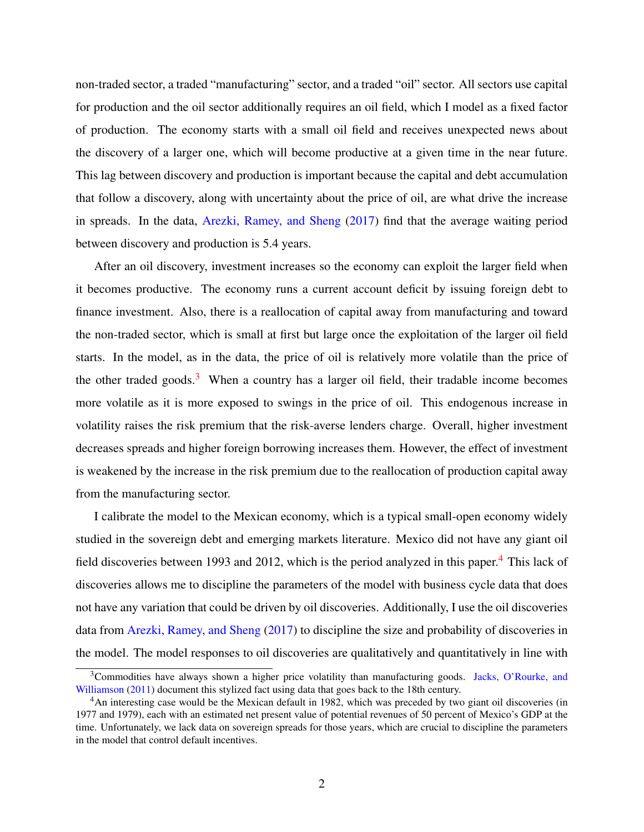<span id="page-2-2"></span>non-traded sector, a traded "manufacturing" sector, and a traded "oil" sector. All sectors use capital for production and the oil sector additionally requires an oil field, which I model as a fixed factor of production. The economy starts with a small oil field and receives unexpected news about the discovery of a larger one, which will become productive at a given time in the near future. This lag between discovery and production is important because the capital and debt accumulation that follow a discovery, along with uncertainty about the price of oil, are what drive the increase in spreads. In the data, [Arezki, Ramey, and Sheng](#page-40-0) [\(2017\)](#page-40-0) find that the average waiting period between discovery and production is 5.4 years.

After an oil discovery, investment increases so the economy can exploit the larger field when it becomes productive. The economy runs a current account deficit by issuing foreign debt to finance investment. Also, there is a reallocation of capital away from manufacturing and toward the non-traded sector, which is small at first but large once the exploitation of the larger oil field starts. In the model, as in the data, the price of oil is relatively more volatile than the price of the other traded goods.<sup>[3](#page-2-0)</sup> When a country has a larger oil field, their tradable income becomes more volatile as it is more exposed to swings in the price of oil. This endogenous increase in volatility raises the risk premium that the risk-averse lenders charge. Overall, higher investment decreases spreads and higher foreign borrowing increases them. However, the effect of investment is weakened by the increase in the risk premium due to the reallocation of production capital away from the manufacturing sector.

I calibrate the model to the Mexican economy, which is a typical small-open economy widely studied in the sovereign debt and emerging markets literature. Mexico did not have any giant oil field discoveries between 1993 and 2012, which is the period analyzed in this paper.<sup>[4](#page-2-1)</sup> This lack of discoveries allows me to discipline the parameters of the model with business cycle data that does not have any variation that could be driven by oil discoveries. Additionally, I use the oil discoveries data from [Arezki, Ramey, and Sheng](#page-40-0) [\(2017\)](#page-40-0) to discipline the size and probability of discoveries in the model. The model responses to oil discoveries are qualitatively and quantitatively in line with

<span id="page-2-0"></span><sup>&</sup>lt;sup>3</sup>Commodities have always shown a higher price volatility than manufacturing goods. [Jacks, O'Rourke, and](#page-42-1) [Williamson](#page-42-1) [\(2011\)](#page-42-1) document this stylized fact using data that goes back to the 18th century.

<span id="page-2-1"></span><sup>&</sup>lt;sup>4</sup>An interesting case would be the Mexican default in 1982, which was preceded by two giant oil discoveries (in 1977 and 1979), each with an estimated net present value of potential revenues of 50 percent of Mexico's GDP at the time. Unfortunately, we lack data on sovereign spreads for those years, which are crucial to discipline the parameters in the model that control default incentives.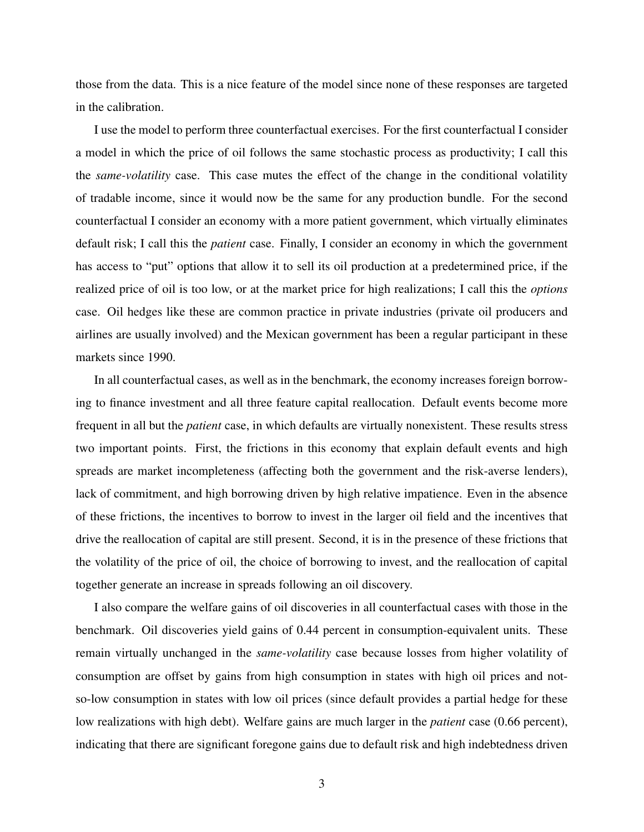those from the data. This is a nice feature of the model since none of these responses are targeted in the calibration.

I use the model to perform three counterfactual exercises. For the first counterfactual I consider a model in which the price of oil follows the same stochastic process as productivity; I call this the *same-volatility* case. This case mutes the effect of the change in the conditional volatility of tradable income, since it would now be the same for any production bundle. For the second counterfactual I consider an economy with a more patient government, which virtually eliminates default risk; I call this the *patient* case. Finally, I consider an economy in which the government has access to "put" options that allow it to sell its oil production at a predetermined price, if the realized price of oil is too low, or at the market price for high realizations; I call this the *options* case. Oil hedges like these are common practice in private industries (private oil producers and airlines are usually involved) and the Mexican government has been a regular participant in these markets since 1990.

In all counterfactual cases, as well as in the benchmark, the economy increases foreign borrowing to finance investment and all three feature capital reallocation. Default events become more frequent in all but the *patient* case, in which defaults are virtually nonexistent. These results stress two important points. First, the frictions in this economy that explain default events and high spreads are market incompleteness (affecting both the government and the risk-averse lenders), lack of commitment, and high borrowing driven by high relative impatience. Even in the absence of these frictions, the incentives to borrow to invest in the larger oil field and the incentives that drive the reallocation of capital are still present. Second, it is in the presence of these frictions that the volatility of the price of oil, the choice of borrowing to invest, and the reallocation of capital together generate an increase in spreads following an oil discovery.

I also compare the welfare gains of oil discoveries in all counterfactual cases with those in the benchmark. Oil discoveries yield gains of 0.44 percent in consumption-equivalent units. These remain virtually unchanged in the *same-volatility* case because losses from higher volatility of consumption are offset by gains from high consumption in states with high oil prices and notso-low consumption in states with low oil prices (since default provides a partial hedge for these low realizations with high debt). Welfare gains are much larger in the *patient* case (0.66 percent), indicating that there are significant foregone gains due to default risk and high indebtedness driven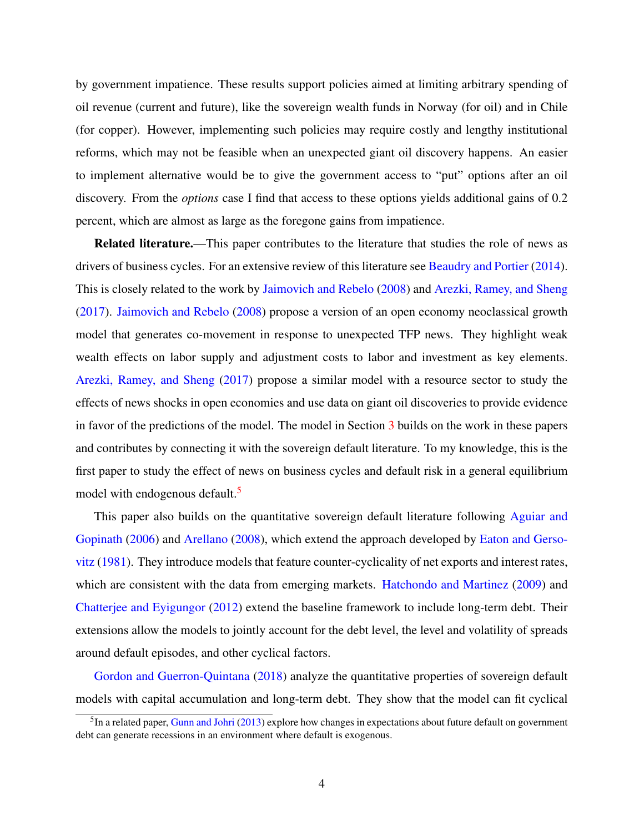<span id="page-4-1"></span>by government impatience. These results support policies aimed at limiting arbitrary spending of oil revenue (current and future), like the sovereign wealth funds in Norway (for oil) and in Chile (for copper). However, implementing such policies may require costly and lengthy institutional reforms, which may not be feasible when an unexpected giant oil discovery happens. An easier to implement alternative would be to give the government access to "put" options after an oil discovery. From the *options* case I find that access to these options yields additional gains of 0.2 percent, which are almost as large as the foregone gains from impatience.

**Related literature.—This paper contributes to the literature that studies the role of news as** drivers of business cycles. For an extensive review of this literature see [Beaudry and Portier](#page-40-1) [\(2014\)](#page-40-1). This is closely related to the work by [Jaimovich and Rebelo](#page-42-2) [\(2008\)](#page-42-2) and [Arezki, Ramey, and Sheng](#page-40-0) [\(2017\)](#page-40-0). [Jaimovich and Rebelo](#page-42-2) [\(2008\)](#page-42-2) propose a version of an open economy neoclassical growth model that generates co-movement in response to unexpected TFP news. They highlight weak wealth effects on labor supply and adjustment costs to labor and investment as key elements. [Arezki, Ramey, and Sheng](#page-40-0) [\(2017\)](#page-40-0) propose a similar model with a resource sector to study the effects of news shocks in open economies and use data on giant oil discoveries to provide evidence in favor of the predictions of the model. The model in Section [3](#page-16-0) builds on the work in these papers and contributes by connecting it with the sovereign default literature. To my knowledge, this is the first paper to study the effect of news on business cycles and default risk in a general equilibrium model with endogenous default.<sup>[5](#page-4-0)</sup>

This paper also builds on the quantitative sovereign default literature following [Aguiar and](#page-40-2) [Gopinath](#page-40-2) [\(2006\)](#page-40-2) and [Arellano](#page-40-3) [\(2008\)](#page-40-3), which extend the approach developed by [Eaton and Gerso](#page-41-0)[vitz](#page-41-0) [\(1981\)](#page-41-0). They introduce models that feature counter-cyclicality of net exports and interest rates, which are consistent with the data from emerging markets. [Hatchondo and Martinez](#page-42-3) [\(2009\)](#page-42-3) and [Chatterjee and Eyigungor](#page-41-1) [\(2012\)](#page-41-1) extend the baseline framework to include long-term debt. Their extensions allow the models to jointly account for the debt level, the level and volatility of spreads around default episodes, and other cyclical factors.

[Gordon and Guerron-Quintana](#page-42-4) [\(2018\)](#page-42-4) analyze the quantitative properties of sovereign default models with capital accumulation and long-term debt. They show that the model can fit cyclical

<span id="page-4-0"></span> $<sup>5</sup>$ In a related paper, [Gunn and Johri](#page-42-5) [\(2013\)](#page-42-5) explore how changes in expectations about future default on government</sup> debt can generate recessions in an environment where default is exogenous.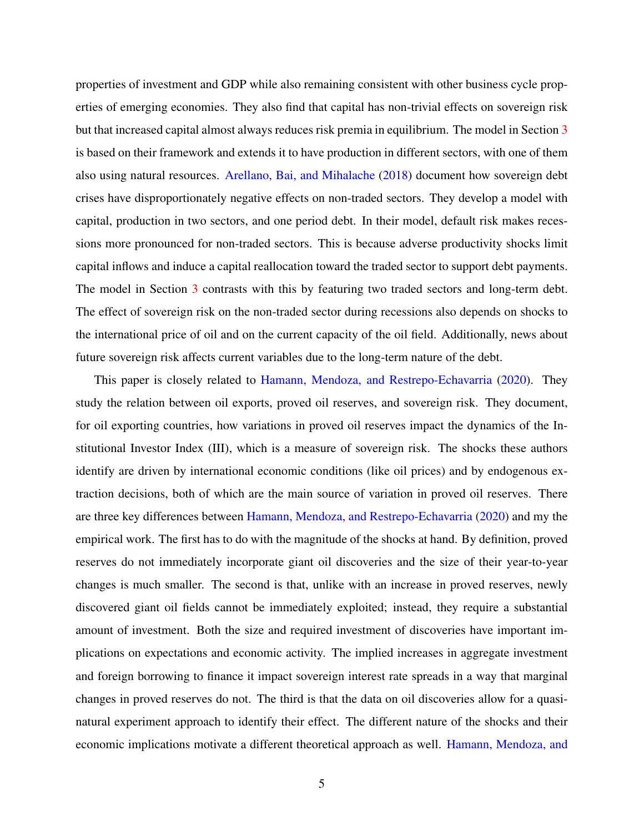<span id="page-5-0"></span>properties of investment and GDP while also remaining consistent with other business cycle properties of emerging economies. They also find that capital has non-trivial effects on sovereign risk but that increased capital almost always reduces risk premia in equilibrium. The model in Section [3](#page-16-0) is based on their framework and extends it to have production in different sectors, with one of them also using natural resources. [Arellano, Bai, and Mihalache](#page-40-4) [\(2018\)](#page-40-4) document how sovereign debt crises have disproportionately negative effects on non-traded sectors. They develop a model with capital, production in two sectors, and one period debt. In their model, default risk makes recessions more pronounced for non-traded sectors. This is because adverse productivity shocks limit capital inflows and induce a capital reallocation toward the traded sector to support debt payments. The model in Section [3](#page-16-0) contrasts with this by featuring two traded sectors and long-term debt. The effect of sovereign risk on the non-traded sector during recessions also depends on shocks to the international price of oil and on the current capacity of the oil field. Additionally, news about future sovereign risk affects current variables due to the long-term nature of the debt.

This paper is closely related to [Hamann, Mendoza, and Restrepo-Echavarria](#page-42-6) [\(2020\)](#page-42-6). They study the relation between oil exports, proved oil reserves, and sovereign risk. They document, for oil exporting countries, how variations in proved oil reserves impact the dynamics of the Institutional Investor Index (III), which is a measure of sovereign risk. The shocks these authors identify are driven by international economic conditions (like oil prices) and by endogenous extraction decisions, both of which are the main source of variation in proved oil reserves. There are three key differences between [Hamann, Mendoza, and Restrepo-Echavarria](#page-42-6) [\(2020\)](#page-42-6) and my the empirical work. The first has to do with the magnitude of the shocks at hand. By definition, proved reserves do not immediately incorporate giant oil discoveries and the size of their year-to-year changes is much smaller. The second is that, unlike with an increase in proved reserves, newly discovered giant oil fields cannot be immediately exploited; instead, they require a substantial amount of investment. Both the size and required investment of discoveries have important implications on expectations and economic activity. The implied increases in aggregate investment and foreign borrowing to finance it impact sovereign interest rate spreads in a way that marginal changes in proved reserves do not. The third is that the data on oil discoveries allow for a quasinatural experiment approach to identify their effect. The different nature of the shocks and their economic implications motivate a different theoretical approach as well. [Hamann, Mendoza, and](#page-42-6)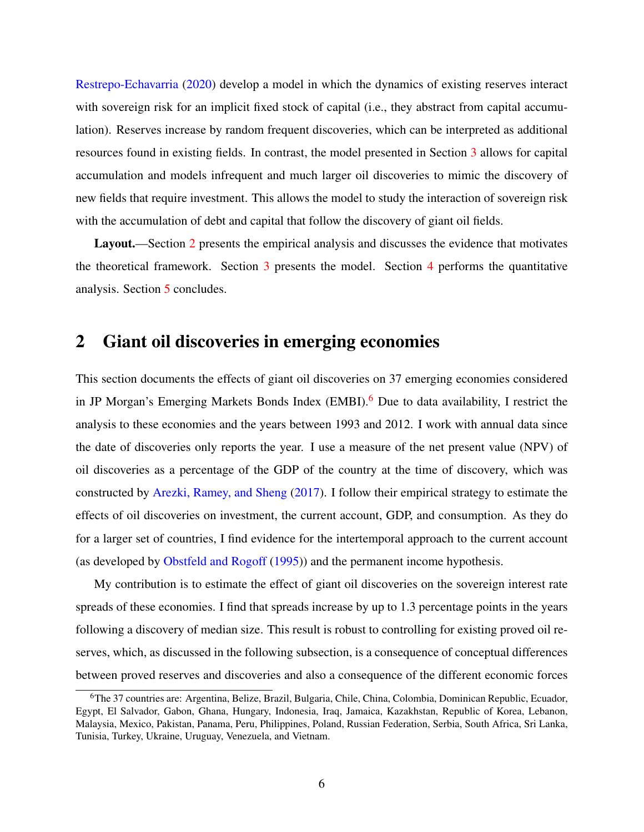<span id="page-6-2"></span>[Restrepo-Echavarria](#page-42-6) [\(2020\)](#page-42-6) develop a model in which the dynamics of existing reserves interact with sovereign risk for an implicit fixed stock of capital (i.e., they abstract from capital accumulation). Reserves increase by random frequent discoveries, which can be interpreted as additional resources found in existing fields. In contrast, the model presented in Section [3](#page-16-0) allows for capital accumulation and models infrequent and much larger oil discoveries to mimic the discovery of new fields that require investment. This allows the model to study the interaction of sovereign risk with the accumulation of debt and capital that follow the discovery of giant oil fields.

Layout.—Section [2](#page-6-0) presents the empirical analysis and discusses the evidence that motivates the theoretical framework. Section  $\overline{3}$  $\overline{3}$  $\overline{3}$  presents the model. Section  $\overline{4}$  $\overline{4}$  $\overline{4}$  performs the quantitative analysis. Section [5](#page-38-0) concludes.

## <span id="page-6-0"></span>2 Giant oil discoveries in emerging economies

This section documents the effects of giant oil discoveries on 37 emerging economies considered in JP Morgan's Emerging Markets Bonds Index (EMBI).<sup>[6](#page-6-1)</sup> Due to data availability, I restrict the analysis to these economies and the years between 1993 and 2012. I work with annual data since the date of discoveries only reports the year. I use a measure of the net present value (NPV) of oil discoveries as a percentage of the GDP of the country at the time of discovery, which was constructed by [Arezki, Ramey, and Sheng](#page-40-0) [\(2017\)](#page-40-0). I follow their empirical strategy to estimate the effects of oil discoveries on investment, the current account, GDP, and consumption. As they do for a larger set of countries, I find evidence for the intertemporal approach to the current account (as developed by [Obstfeld and Rogoff](#page-43-1) [\(1995\)](#page-43-1)) and the permanent income hypothesis.

My contribution is to estimate the effect of giant oil discoveries on the sovereign interest rate spreads of these economies. I find that spreads increase by up to 1.3 percentage points in the years following a discovery of median size. This result is robust to controlling for existing proved oil reserves, which, as discussed in the following subsection, is a consequence of conceptual differences between proved reserves and discoveries and also a consequence of the different economic forces

<span id="page-6-1"></span><sup>6</sup>The 37 countries are: Argentina, Belize, Brazil, Bulgaria, Chile, China, Colombia, Dominican Republic, Ecuador, Egypt, El Salvador, Gabon, Ghana, Hungary, Indonesia, Iraq, Jamaica, Kazakhstan, Republic of Korea, Lebanon, Malaysia, Mexico, Pakistan, Panama, Peru, Philippines, Poland, Russian Federation, Serbia, South Africa, Sri Lanka, Tunisia, Turkey, Ukraine, Uruguay, Venezuela, and Vietnam.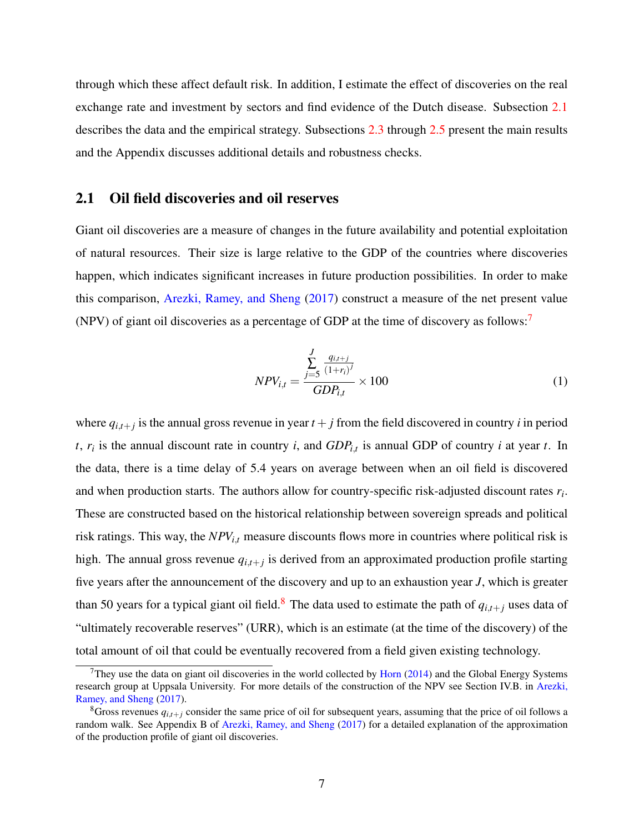<span id="page-7-4"></span>through which these affect default risk. In addition, I estimate the effect of discoveries on the real exchange rate and investment by sectors and find evidence of the Dutch disease. Subsection [2.1](#page-7-0) describes the data and the empirical strategy. Subsections [2.3](#page-12-0) through [2.5](#page-14-0) present the main results and the Appendix discusses additional details and robustness checks.

### <span id="page-7-0"></span>2.1 Oil field discoveries and oil reserves

Giant oil discoveries are a measure of changes in the future availability and potential exploitation of natural resources. Their size is large relative to the GDP of the countries where discoveries happen, which indicates significant increases in future production possibilities. In order to make this comparison, [Arezki, Ramey, and Sheng](#page-40-0) [\(2017\)](#page-40-0) construct a measure of the net present value (NPV) of giant oil discoveries as a percentage of GDP at the time of discovery as follows:[7](#page-7-1)

<span id="page-7-3"></span>
$$
NPV_{i,t} = \frac{\sum_{j=5}^{J} \frac{q_{i,t+j}}{(1+r_i)^j}}{GDP_{i,t}} \times 100
$$
\n(1)

where  $q_{i,t+j}$  is the annual gross revenue in year  $t+j$  from the field discovered in country *i* in period *t*, *r<sup>i</sup>* is the annual discount rate in country *i*, and *GDPi*,*<sup>t</sup>* is annual GDP of country *i* at year *t*. In the data, there is a time delay of 5.4 years on average between when an oil field is discovered and when production starts. The authors allow for country-specific risk-adjusted discount rates *r<sup>i</sup>* . These are constructed based on the historical relationship between sovereign spreads and political risk ratings. This way, the *NPVi*,*<sup>t</sup>* measure discounts flows more in countries where political risk is high. The annual gross revenue *qi*,*t*+*<sup>j</sup>* is derived from an approximated production profile starting five years after the announcement of the discovery and up to an exhaustion year *J*, which is greater than 50 years for a typical giant oil field.<sup>[8](#page-7-2)</sup> The data used to estimate the path of  $q_{i,t+j}$  uses data of "ultimately recoverable reserves" (URR), which is an estimate (at the time of the discovery) of the total amount of oil that could be eventually recovered from a field given existing technology.

<span id="page-7-1"></span> $7$ They use the data on giant oil discoveries in the world collected by [Horn](#page-42-0) [\(2014\)](#page-42-0) and the Global Energy Systems research group at Uppsala University. For more details of the construction of the NPV see Section IV.B. in [Arezki,](#page-40-0) [Ramey, and Sheng](#page-40-0) [\(2017\)](#page-40-0).

<span id="page-7-2"></span><sup>&</sup>lt;sup>8</sup>Gross revenues  $q_{i,t+i}$  consider the same price of oil for subsequent years, assuming that the price of oil follows a random walk. See Appendix B of [Arezki, Ramey, and Sheng](#page-40-0) [\(2017\)](#page-40-0) for a detailed explanation of the approximation of the production profile of giant oil discoveries.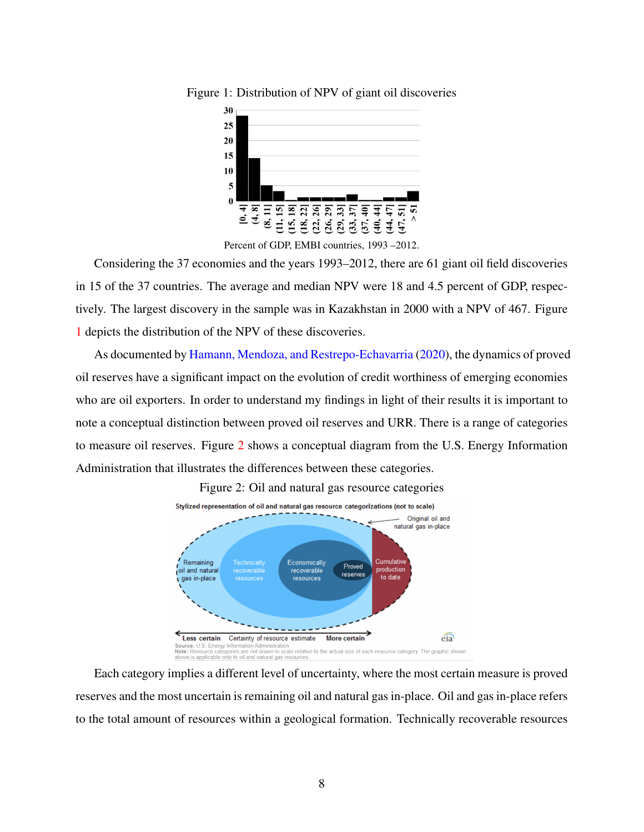

<span id="page-8-2"></span><span id="page-8-0"></span>Figure 1: Distribution of NPV of giant oil discoveries

Considering the 37 economies and the years 1993–2012, there are 61 giant oil field discoveries in 15 of the 37 countries. The average and median NPV were 18 and 4.5 percent of GDP, respectively. The largest discovery in the sample was in Kazakhstan in 2000 with a NPV of 467. Figure [1](#page-8-0) depicts the distribution of the NPV of these discoveries.

As documented by [Hamann, Mendoza, and Restrepo-Echavarria](#page-42-6) [\(2020\)](#page-42-6), the dynamics of proved oil reserves have a significant impact on the evolution of credit worthiness of emerging economies who are oil exporters. In order to understand my findings in light of their results it is important to note a conceptual distinction between proved oil reserves and URR. There is a range of categories to measure oil reserves. Figure [2](#page-8-1) shows a conceptual diagram from the U.S. Energy Information Administration that illustrates the differences between these categories.



<span id="page-8-1"></span>

Each category implies a different level of uncertainty, where the most certain measure is proved reserves and the most uncertain is remaining oil and natural gas in-place. Oil and gas in-place refers to the total amount of resources within a geological formation. Technically recoverable resources

Percent of GDP, EMBI countries, 1993 –2012.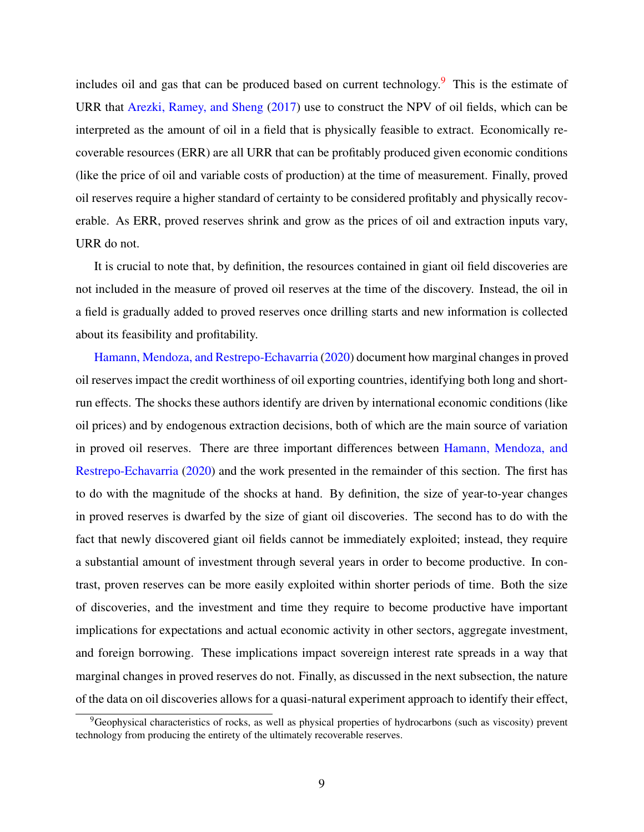<span id="page-9-1"></span>includes oil and gas that can be produced based on current technology.<sup>[9](#page-9-0)</sup> This is the estimate of URR that [Arezki, Ramey, and Sheng](#page-40-0) [\(2017\)](#page-40-0) use to construct the NPV of oil fields, which can be interpreted as the amount of oil in a field that is physically feasible to extract. Economically recoverable resources (ERR) are all URR that can be profitably produced given economic conditions (like the price of oil and variable costs of production) at the time of measurement. Finally, proved oil reserves require a higher standard of certainty to be considered profitably and physically recoverable. As ERR, proved reserves shrink and grow as the prices of oil and extraction inputs vary, URR do not.

It is crucial to note that, by definition, the resources contained in giant oil field discoveries are not included in the measure of proved oil reserves at the time of the discovery. Instead, the oil in a field is gradually added to proved reserves once drilling starts and new information is collected about its feasibility and profitability.

[Hamann, Mendoza, and Restrepo-Echavarria](#page-42-6) [\(2020\)](#page-42-6) document how marginal changes in proved oil reserves impact the credit worthiness of oil exporting countries, identifying both long and shortrun effects. The shocks these authors identify are driven by international economic conditions (like oil prices) and by endogenous extraction decisions, both of which are the main source of variation in proved oil reserves. There are three important differences between [Hamann, Mendoza, and](#page-42-6) [Restrepo-Echavarria](#page-42-6) [\(2020\)](#page-42-6) and the work presented in the remainder of this section. The first has to do with the magnitude of the shocks at hand. By definition, the size of year-to-year changes in proved reserves is dwarfed by the size of giant oil discoveries. The second has to do with the fact that newly discovered giant oil fields cannot be immediately exploited; instead, they require a substantial amount of investment through several years in order to become productive. In contrast, proven reserves can be more easily exploited within shorter periods of time. Both the size of discoveries, and the investment and time they require to become productive have important implications for expectations and actual economic activity in other sectors, aggregate investment, and foreign borrowing. These implications impact sovereign interest rate spreads in a way that marginal changes in proved reserves do not. Finally, as discussed in the next subsection, the nature of the data on oil discoveries allows for a quasi-natural experiment approach to identify their effect,

<span id="page-9-0"></span> $9^9$ Geophysical characteristics of rocks, as well as physical properties of hydrocarbons (such as viscosity) prevent technology from producing the entirety of the ultimately recoverable reserves.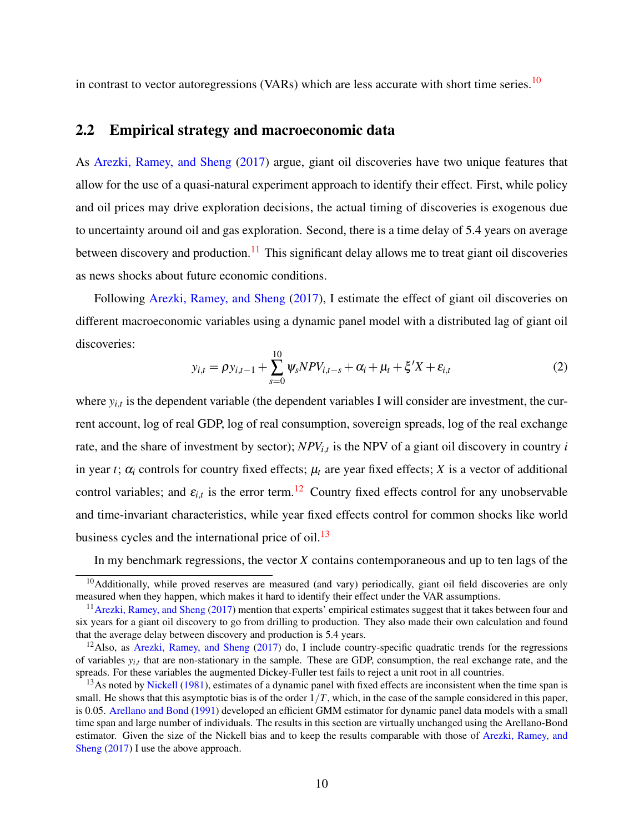<span id="page-10-5"></span>in contrast to vector autoregressions (VARs) which are less accurate with short time series.<sup>[10](#page-10-0)</sup>

## 2.2 Empirical strategy and macroeconomic data

As [Arezki, Ramey, and Sheng](#page-40-0) [\(2017\)](#page-40-0) argue, giant oil discoveries have two unique features that allow for the use of a quasi-natural experiment approach to identify their effect. First, while policy and oil prices may drive exploration decisions, the actual timing of discoveries is exogenous due to uncertainty around oil and gas exploration. Second, there is a time delay of 5.4 years on average between discovery and production.<sup>[11](#page-10-1)</sup> This significant delay allows me to treat giant oil discoveries as news shocks about future economic conditions.

Following [Arezki, Ramey, and Sheng](#page-40-0) [\(2017\)](#page-40-0), I estimate the effect of giant oil discoveries on different macroeconomic variables using a dynamic panel model with a distributed lag of giant oil discoveries:

<span id="page-10-4"></span>
$$
y_{i,t} = \rho y_{i,t-1} + \sum_{s=0}^{10} \psi_s N P V_{i,t-s} + \alpha_i + \mu_t + \xi' X + \varepsilon_{i,t}
$$
 (2)

where  $y_{i,t}$  is the dependent variable (the dependent variables I will consider are investment, the current account, log of real GDP, log of real consumption, sovereign spreads, log of the real exchange rate, and the share of investment by sector); *NPVi*,*<sup>t</sup>* is the NPV of a giant oil discovery in country *i* in year *t*;  $\alpha_i$  controls for country fixed effects;  $\mu_t$  are year fixed effects; *X* is a vector of additional control variables; and  $\varepsilon_{i,t}$  is the error term.<sup>[12](#page-10-2)</sup> Country fixed effects control for any unobservable and time-invariant characteristics, while year fixed effects control for common shocks like world business cycles and the international price of oil. $^{13}$  $^{13}$  $^{13}$ 

In my benchmark regressions, the vector *X* contains contemporaneous and up to ten lags of the

<span id="page-10-0"></span><sup>&</sup>lt;sup>10</sup>Additionally, while proved reserves are measured (and vary) periodically, giant oil field discoveries are only measured when they happen, which makes it hard to identify their effect under the VAR assumptions.

<span id="page-10-1"></span> $11$  [Arezki, Ramey, and Sheng](#page-40-0) [\(2017\)](#page-40-0) mention that experts' empirical estimates suggest that it takes between four and six years for a giant oil discovery to go from drilling to production. They also made their own calculation and found that the average delay between discovery and production is 5.4 years.

<span id="page-10-2"></span><sup>&</sup>lt;sup>12</sup>Also, as [Arezki, Ramey, and Sheng](#page-40-0) [\(2017\)](#page-40-0) do, I include country-specific quadratic trends for the regressions of variables *yi*,*<sup>t</sup>* that are non-stationary in the sample. These are GDP, consumption, the real exchange rate, and the spreads. For these variables the augmented Dickey-Fuller test fails to reject a unit root in all countries.

<span id="page-10-3"></span><sup>&</sup>lt;sup>13</sup>As noted by [Nickell](#page-43-2) [\(1981\)](#page-43-2), estimates of a dynamic panel with fixed effects are inconsistent when the time span is small. He shows that this asymptotic bias is of the order  $1/T$ , which, in the case of the sample considered in this paper, is 0.05. [Arellano and Bond](#page-40-5) [\(1991\)](#page-40-5) developed an efficient GMM estimator for dynamic panel data models with a small time span and large number of individuals. The results in this section are virtually unchanged using the Arellano-Bond estimator. Given the size of the Nickell bias and to keep the results comparable with those of [Arezki, Ramey, and](#page-40-0) [Sheng](#page-40-0) [\(2017\)](#page-40-0) I use the above approach.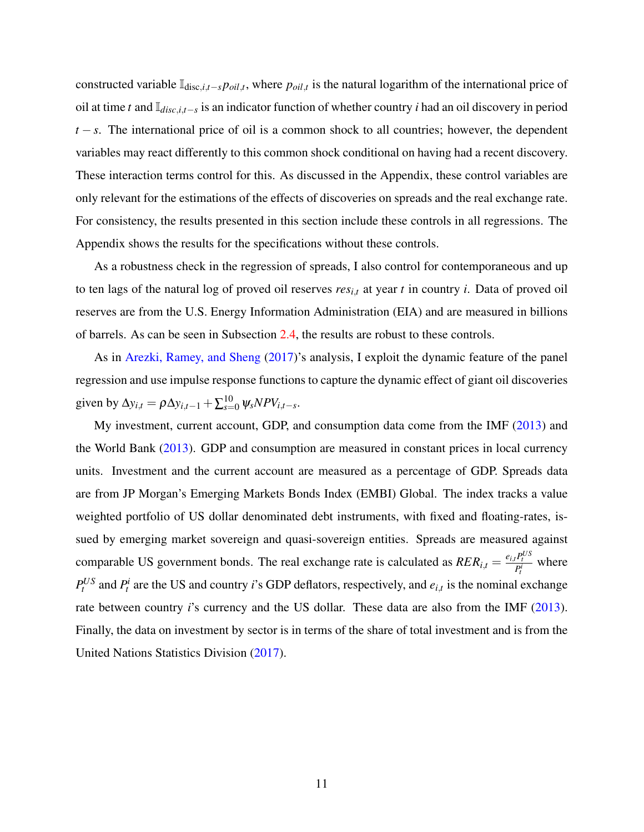<span id="page-11-0"></span>constructed variable  $\mathbb{I}_{disc,i,t-s}$ *p* $_{oil,t}$ , where  $p_{oil,t}$  is the natural logarithm of the international price of oil at time *t* and I*disc*,*i*,*t*−*<sup>s</sup>* is an indicator function of whether country *i* had an oil discovery in period *t* − *s*. The international price of oil is a common shock to all countries; however, the dependent variables may react differently to this common shock conditional on having had a recent discovery. These interaction terms control for this. As discussed in the Appendix, these control variables are only relevant for the estimations of the effects of discoveries on spreads and the real exchange rate. For consistency, the results presented in this section include these controls in all regressions. The Appendix shows the results for the specifications without these controls.

As a robustness check in the regression of spreads, I also control for contemporaneous and up to ten lags of the natural log of proved oil reserves *resi*,*<sup>t</sup>* at year *t* in country *i*. Data of proved oil reserves are from the U.S. Energy Information Administration (EIA) and are measured in billions of barrels. As can be seen in Subsection [2.4,](#page-13-0) the results are robust to these controls.

As in [Arezki, Ramey, and Sheng](#page-40-0) [\(2017\)](#page-40-0)'s analysis, I exploit the dynamic feature of the panel regression and use impulse response functions to capture the dynamic effect of giant oil discoveries given by  $\Delta y_{i,t} = \rho \Delta y_{i,t-1} + \sum_{s=0}^{10} \psi_s N P V_{i,t-s}$ .

My investment, current account, GDP, and consumption data come from the IMF [\(2013\)](#page-41-2) and the World Bank [\(2013\)](#page-42-7). GDP and consumption are measured in constant prices in local currency units. Investment and the current account are measured as a percentage of GDP. Spreads data are from JP Morgan's Emerging Markets Bonds Index (EMBI) Global. The index tracks a value weighted portfolio of US dollar denominated debt instruments, with fixed and floating-rates, issued by emerging market sovereign and quasi-sovereign entities. Spreads are measured against comparable US government bonds. The real exchange rate is calculated as  $RER_{i,t} = \frac{e_{i,t}P_i^{US}}{P_i^{U}}$  $\frac{p_i^t}{P_t^i}$  where  $P_t^{US}$  and  $P_t^i$  are the US and country *i*'s GDP deflators, respectively, and  $e_{i,t}$  is the nominal exchange rate between country *i*'s currency and the US dollar. These data are also from the IMF [\(2013\)](#page-41-2). Finally, the data on investment by sector is in terms of the share of total investment and is from the United Nations Statistics Division [\(2017\)](#page-41-3).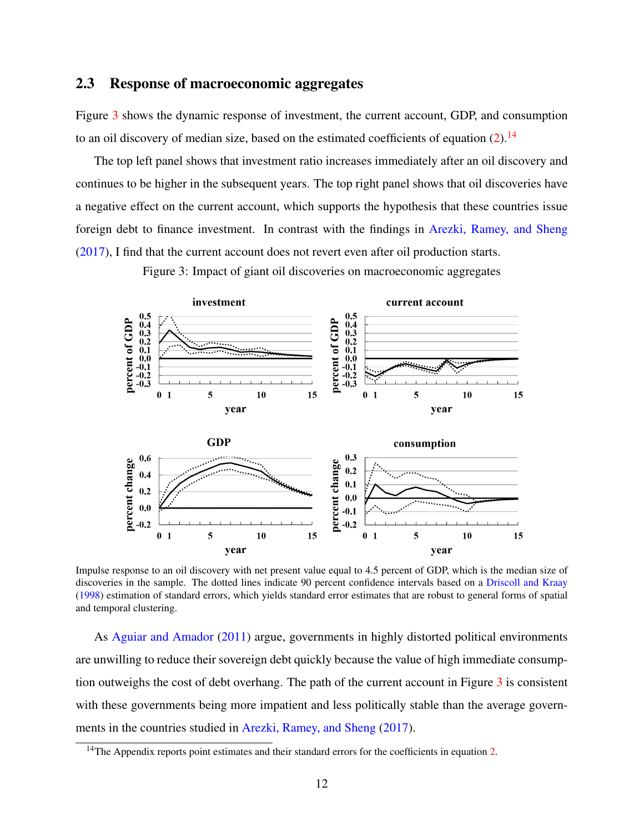## <span id="page-12-3"></span><span id="page-12-0"></span>2.3 Response of macroeconomic aggregates

Figure [3](#page-12-1) shows the dynamic response of investment, the current account, GDP, and consumption to an oil discovery of median size, based on the estimated coefficients of equation  $(2)$ .<sup>[14](#page-12-2)</sup>

The top left panel shows that investment ratio increases immediately after an oil discovery and continues to be higher in the subsequent years. The top right panel shows that oil discoveries have a negative effect on the current account, which supports the hypothesis that these countries issue foreign debt to finance investment. In contrast with the findings in [Arezki, Ramey, and Sheng](#page-40-0) [\(2017\)](#page-40-0), I find that the current account does not revert even after oil production starts.

Figure 3: Impact of giant oil discoveries on macroeconomic aggregates

<span id="page-12-1"></span>

Impulse response to an oil discovery with net present value equal to 4.5 percent of GDP, which is the median size of discoveries in the sample. The dotted lines indicate 90 percent confidence intervals based on a [Driscoll and Kraay](#page-41-4) [\(1998\)](#page-41-4) estimation of standard errors, which yields standard error estimates that are robust to general forms of spatial and temporal clustering.

As [Aguiar and Amador](#page-40-6) [\(2011\)](#page-40-6) argue, governments in highly distorted political environments are unwilling to reduce their sovereign debt quickly because the value of high immediate consumption outweighs the cost of debt overhang. The path of the current account in Figure [3](#page-12-1) is consistent with these governments being more impatient and less politically stable than the average governments in the countries studied in [Arezki, Ramey, and Sheng](#page-40-0) [\(2017\)](#page-40-0).

<span id="page-12-2"></span> $14$ The Appendix reports point estimates and their standard errors for the coefficients in equation [2.](#page-10-4)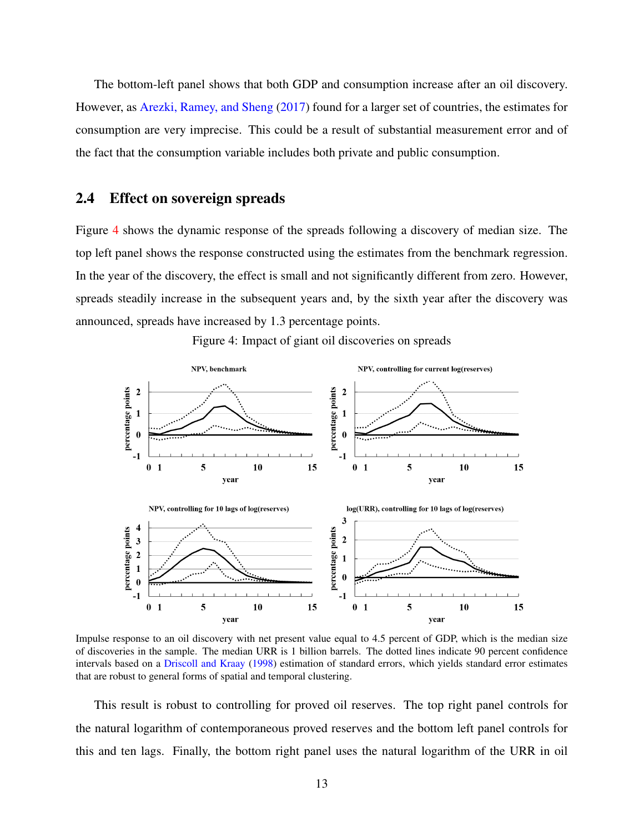<span id="page-13-2"></span>The bottom-left panel shows that both GDP and consumption increase after an oil discovery. However, as [Arezki, Ramey, and Sheng](#page-40-0) [\(2017\)](#page-40-0) found for a larger set of countries, the estimates for consumption are very imprecise. This could be a result of substantial measurement error and of the fact that the consumption variable includes both private and public consumption.

## <span id="page-13-0"></span>2.4 Effect on sovereign spreads

Figure [4](#page-13-1) shows the dynamic response of the spreads following a discovery of median size. The top left panel shows the response constructed using the estimates from the benchmark regression. In the year of the discovery, the effect is small and not significantly different from zero. However, spreads steadily increase in the subsequent years and, by the sixth year after the discovery was announced, spreads have increased by 1.3 percentage points.

<span id="page-13-1"></span>

Figure 4: Impact of giant oil discoveries on spreads

Impulse response to an oil discovery with net present value equal to 4.5 percent of GDP, which is the median size of discoveries in the sample. The median URR is 1 billion barrels. The dotted lines indicate 90 percent confidence intervals based on a [Driscoll and Kraay](#page-41-4) [\(1998\)](#page-41-4) estimation of standard errors, which yields standard error estimates that are robust to general forms of spatial and temporal clustering.

This result is robust to controlling for proved oil reserves. The top right panel controls for the natural logarithm of contemporaneous proved reserves and the bottom left panel controls for this and ten lags. Finally, the bottom right panel uses the natural logarithm of the URR in oil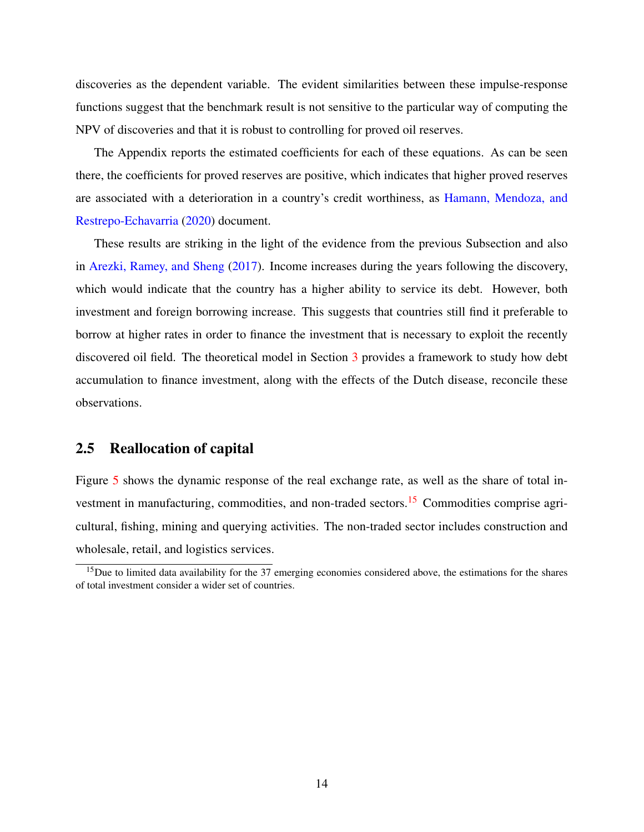<span id="page-14-2"></span>discoveries as the dependent variable. The evident similarities between these impulse-response functions suggest that the benchmark result is not sensitive to the particular way of computing the NPV of discoveries and that it is robust to controlling for proved oil reserves.

The Appendix reports the estimated coefficients for each of these equations. As can be seen there, the coefficients for proved reserves are positive, which indicates that higher proved reserves are associated with a deterioration in a country's credit worthiness, as [Hamann, Mendoza, and](#page-42-6) [Restrepo-Echavarria](#page-42-6) [\(2020\)](#page-42-6) document.

These results are striking in the light of the evidence from the previous Subsection and also in [Arezki, Ramey, and Sheng](#page-40-0) [\(2017\)](#page-40-0). Income increases during the years following the discovery, which would indicate that the country has a higher ability to service its debt. However, both investment and foreign borrowing increase. This suggests that countries still find it preferable to borrow at higher rates in order to finance the investment that is necessary to exploit the recently discovered oil field. The theoretical model in Section [3](#page-16-0) provides a framework to study how debt accumulation to finance investment, along with the effects of the Dutch disease, reconcile these observations.

#### <span id="page-14-0"></span>2.5 Reallocation of capital

Figure [5](#page-15-0) shows the dynamic response of the real exchange rate, as well as the share of total in-vestment in manufacturing, commodities, and non-traded sectors.<sup>[15](#page-14-1)</sup> Commodities comprise agricultural, fishing, mining and querying activities. The non-traded sector includes construction and wholesale, retail, and logistics services.

<span id="page-14-1"></span><sup>&</sup>lt;sup>15</sup>Due to limited data availability for the 37 emerging economies considered above, the estimations for the shares of total investment consider a wider set of countries.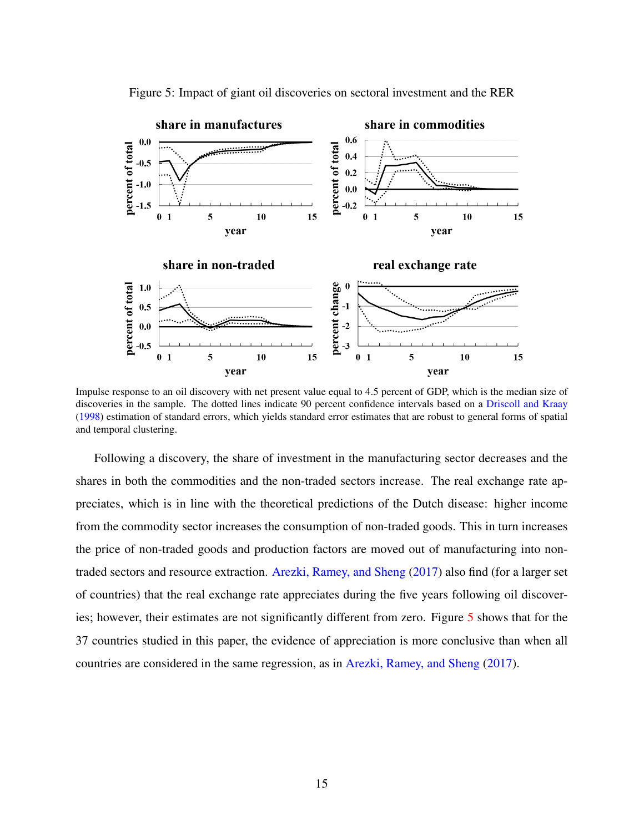<span id="page-15-0"></span>

<span id="page-15-1"></span>Figure 5: Impact of giant oil discoveries on sectoral investment and the RER

Impulse response to an oil discovery with net present value equal to 4.5 percent of GDP, which is the median size of discoveries in the sample. The dotted lines indicate 90 percent confidence intervals based on a [Driscoll and Kraay](#page-41-4) [\(1998\)](#page-41-4) estimation of standard errors, which yields standard error estimates that are robust to general forms of spatial and temporal clustering.

Following a discovery, the share of investment in the manufacturing sector decreases and the shares in both the commodities and the non-traded sectors increase. The real exchange rate appreciates, which is in line with the theoretical predictions of the Dutch disease: higher income from the commodity sector increases the consumption of non-traded goods. This in turn increases the price of non-traded goods and production factors are moved out of manufacturing into nontraded sectors and resource extraction. [Arezki, Ramey, and Sheng](#page-40-0) [\(2017\)](#page-40-0) also find (for a larger set of countries) that the real exchange rate appreciates during the five years following oil discoveries; however, their estimates are not significantly different from zero. Figure [5](#page-15-0) shows that for the 37 countries studied in this paper, the evidence of appreciation is more conclusive than when all countries are considered in the same regression, as in [Arezki, Ramey, and Sheng](#page-40-0) [\(2017\)](#page-40-0).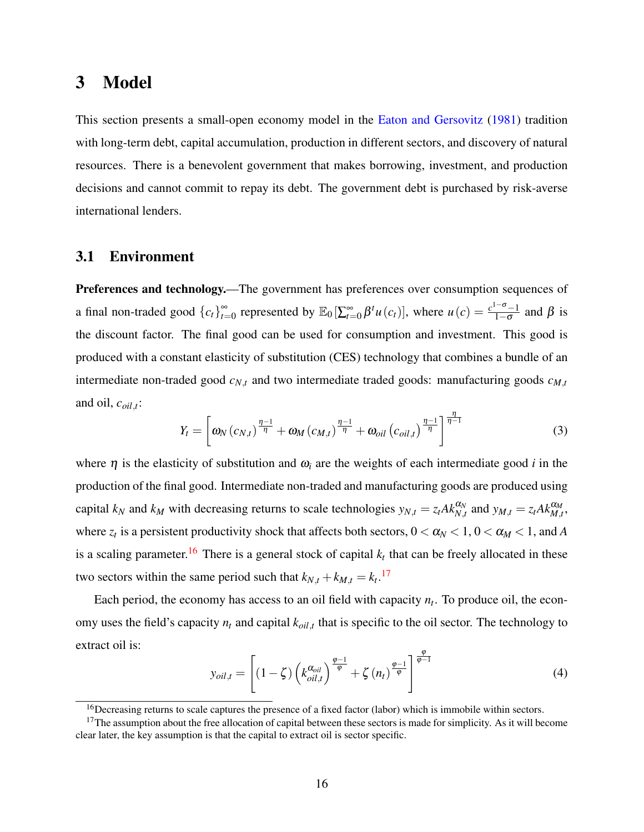## <span id="page-16-5"></span><span id="page-16-0"></span>3 Model

This section presents a small-open economy model in the [Eaton and Gersovitz](#page-41-0) [\(1981\)](#page-41-0) tradition with long-term debt, capital accumulation, production in different sectors, and discovery of natural resources. There is a benevolent government that makes borrowing, investment, and production decisions and cannot commit to repay its debt. The government debt is purchased by risk-averse international lenders.

### 3.1 Environment

Preferences and technology.—The government has preferences over consumption sequences of a final non-traded good  ${c_t}_{t=0}^{\infty}$  $\sum_{t=0}^{\infty}$  represented by  $\mathbb{E}_0 \left[ \sum_{t=0}^{\infty} \beta^t u(c_t) \right]$ , where  $u(c) = \frac{c^{1-\sigma}-1}{1-\sigma}$  $\frac{0}{1-\sigma}$  and  $\beta$  is the discount factor. The final good can be used for consumption and investment. This good is produced with a constant elasticity of substitution (CES) technology that combines a bundle of an intermediate non-traded good *cN*,*<sup>t</sup>* and two intermediate traded goods: manufacturing goods *cM*,*<sup>t</sup>* and oil, *coil*,*<sup>t</sup>* :

<span id="page-16-4"></span>
$$
Y_{t} = \left[\omega_{N}\left(c_{N,t}\right)^{\frac{\eta-1}{\eta}} + \omega_{M}\left(c_{M,t}\right)^{\frac{\eta-1}{\eta}} + \omega_{oil}\left(c_{oil,t}\right)^{\frac{\eta-1}{\eta}}\right]^{\frac{\eta}{\eta-1}}
$$
(3)

where  $\eta$  is the elasticity of substitution and  $\omega_i$  are the weights of each intermediate good *i* in the production of the final good. Intermediate non-traded and manufacturing goods are produced using capital  $k_N$  and  $k_M$  with decreasing returns to scale technologies  $y_{N,t} = z_t A k_{N,t}^{\alpha_N}$  and  $y_{M,t} = z_t A k_{M,t}^{\alpha_M}$ , where  $z_t$  is a persistent productivity shock that affects both sectors,  $0 < \alpha_N < 1$ ,  $0 < \alpha_M < 1$ , and A is a scaling parameter.<sup>[16](#page-16-1)</sup> There is a general stock of capital  $k_t$  that can be freely allocated in these two sectors within the same period such that  $k_{N,t} + k_{M,t} = k_t$ .<sup>[17](#page-16-2)</sup>

Each period, the economy has access to an oil field with capacity  $n_t$ . To produce oil, the economy uses the field's capacity  $n_t$  and capital  $k_{oil,t}$  that is specific to the oil sector. The technology to extract oil is:

<span id="page-16-3"></span>
$$
y_{oil,t} = \left[ (1 - \zeta) \left( k_{oil,t}^{\alpha_{oil}} \right)^{\frac{\varphi - 1}{\varphi}} + \zeta \left( n_t \right)^{\frac{\varphi - 1}{\varphi}} \right]^{\frac{\varphi}{\varphi - 1}}
$$
(4)

<span id="page-16-2"></span><span id="page-16-1"></span> $16$ Decreasing returns to scale captures the presence of a fixed factor (labor) which is immobile within sectors.

 $17$ The assumption about the free allocation of capital between these sectors is made for simplicity. As it will become clear later, the key assumption is that the capital to extract oil is sector specific.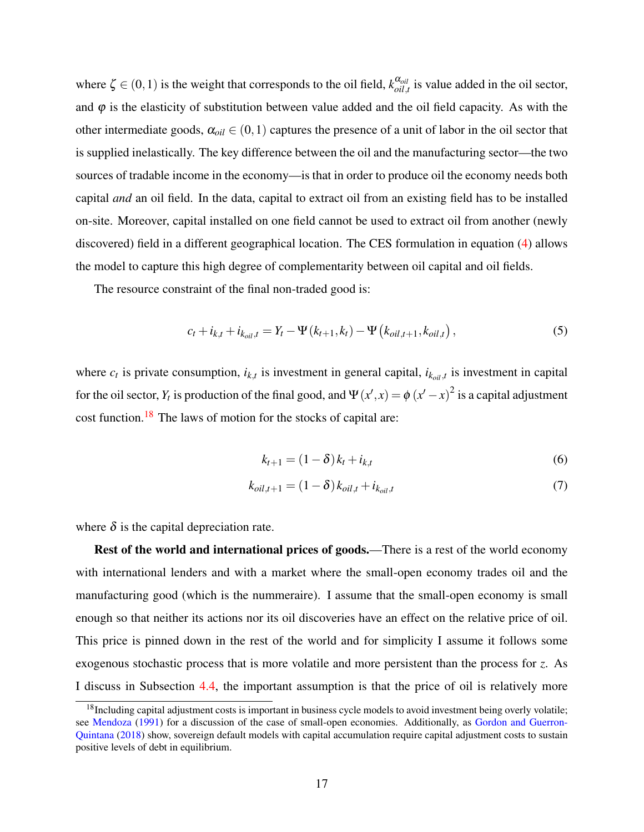<span id="page-17-4"></span>where  $\zeta \in (0,1)$  is the weight that corresponds to the oil field,  $k_{oil}^{\alpha_{oil}}$  $\frac{\alpha_{oil}}{oil, t}$  is value added in the oil sector, and  $\varphi$  is the elasticity of substitution between value added and the oil field capacity. As with the other intermediate goods,  $\alpha_{oil} \in (0,1)$  captures the presence of a unit of labor in the oil sector that is supplied inelastically. The key difference between the oil and the manufacturing sector—the two sources of tradable income in the economy—is that in order to produce oil the economy needs both capital *and* an oil field. In the data, capital to extract oil from an existing field has to be installed on-site. Moreover, capital installed on one field cannot be used to extract oil from another (newly discovered) field in a different geographical location. The CES formulation in equation [\(4\)](#page-16-3) allows the model to capture this high degree of complementarity between oil capital and oil fields.

The resource constraint of the final non-traded good is:

<span id="page-17-1"></span>
$$
c_{t} + i_{k,t} + i_{k_{oil},t} = Y_{t} - \Psi(k_{t+1},k_{t}) - \Psi(k_{oil,t+1},k_{oil,t}),
$$
\n(5)

where  $c_t$  is private consumption,  $i_{k,t}$  is investment in general capital,  $i_{k_{oil},t}$  is investment in capital for the oil sector,  $Y_t$  is production of the final good, and  $\Psi(x',x) = \phi(x'-x)^2$  is a capital adjustment cost function.[18](#page-17-0) The laws of motion for the stocks of capital are:

<span id="page-17-3"></span><span id="page-17-2"></span>
$$
k_{t+1} = (1 - \delta) k_t + i_{k,t}
$$
 (6)

$$
k_{oil,t+1} = (1 - \delta) k_{oil,t} + i_{k_{oil},t}
$$
\n(7)

where  $\delta$  is the capital depreciation rate.

Rest of the world and international prices of goods.—There is a rest of the world economy with international lenders and with a market where the small-open economy trades oil and the manufacturing good (which is the nummeraire). I assume that the small-open economy is small enough so that neither its actions nor its oil discoveries have an effect on the relative price of oil. This price is pinned down in the rest of the world and for simplicity I assume it follows some exogenous stochastic process that is more volatile and more persistent than the process for *z*. As I discuss in Subsection [4.4,](#page-30-0) the important assumption is that the price of oil is relatively more

<span id="page-17-0"></span> $18$ Including capital adjustment costs is important in business cycle models to avoid investment being overly volatile; see [Mendoza](#page-43-3) [\(1991\)](#page-43-3) for a discussion of the case of small-open economies. Additionally, as [Gordon and Guerron-](#page-42-4)[Quintana](#page-42-4) [\(2018\)](#page-42-4) show, sovereign default models with capital accumulation require capital adjustment costs to sustain positive levels of debt in equilibrium.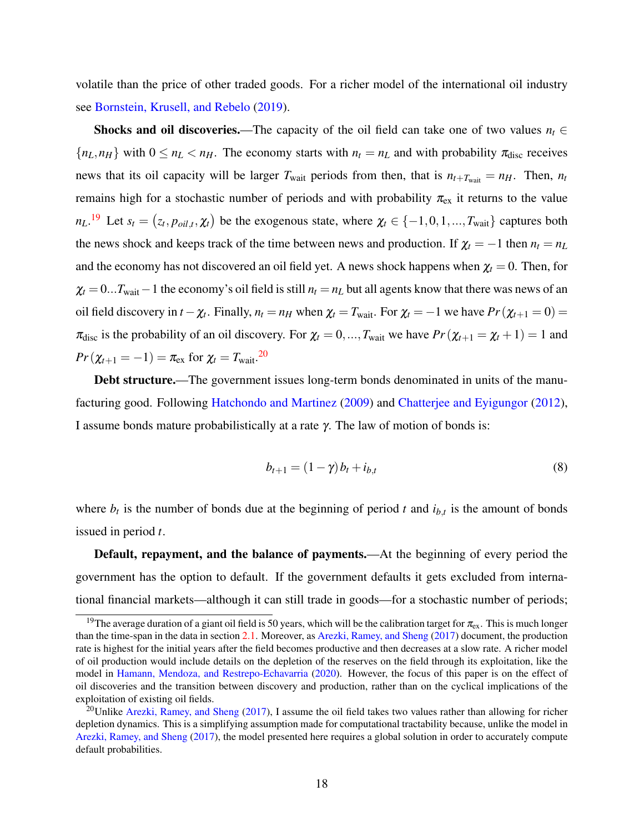<span id="page-18-3"></span>volatile than the price of other traded goods. For a richer model of the international oil industry see [Bornstein, Krusell, and Rebelo](#page-41-5) [\(2019\)](#page-41-5).

Shocks and oil discoveries.—The capacity of the oil field can take one of two values  $n_t \in$  ${n_L, n_H}$  with  $0 \le n_L < n_H$ . The economy starts with  $n_t = n_L$  and with probability  $\pi_{disc}$  receives news that its oil capacity will be larger  $T_{wait}$  periods from then, that is  $n_{t+T_{wait}} = n_H$ . Then,  $n_t$ remains high for a stochastic number of periods and with probability  $\pi_{ex}$  it returns to the value  $n_L$ .<sup>[19](#page-18-0)</sup> Let  $s_t = (z_t, p_{oil,t}, \chi_t)$  be the exogenous state, where  $\chi_t \in \{-1, 0, 1, ..., T_{wait}\}$  captures both the news shock and keeps track of the time between news and production. If  $\chi_t = -1$  then  $n_t = n_L$ and the economy has not discovered an oil field yet. A news shock happens when  $\chi_t = 0$ . Then, for χ*<sup>t</sup>* = 0...*T*wait−1 the economy's oil field is still *n<sup>t</sup>* = *n<sup>L</sup>* but all agents know that there was news of an oil field discovery in  $t - \chi_t$ . Finally,  $n_t = n_H$  when  $\chi_t = T_{\text{wait}}$ . For  $\chi_t = -1$  we have  $Pr(\chi_{t+1} = 0) =$  $\pi_{disc}$  is the probability of an oil discovery. For  $\chi_t = 0, ..., T_{wait}$  we have  $Pr(\chi_{t+1} = \chi_t + 1) = 1$  and *Pr* ( $\chi_{t+1} = -1$ ) =  $\pi_{ex}$  for  $\chi_t = T_{wait}$ .<sup>[20](#page-18-1)</sup>

Debt structure.—The government issues long-term bonds denominated in units of the manufacturing good. Following [Hatchondo and Martinez](#page-42-3) [\(2009\)](#page-42-3) and [Chatterjee and Eyigungor](#page-41-1) [\(2012\)](#page-41-1), I assume bonds mature probabilistically at a rate  $\gamma$ . The law of motion of bonds is:

<span id="page-18-2"></span>
$$
b_{t+1} = (1 - \gamma) b_t + i_{b,t} \tag{8}
$$

where  $b_t$  is the number of bonds due at the beginning of period *t* and  $i_{b,t}$  is the amount of bonds issued in period *t*.

Default, repayment, and the balance of payments.—At the beginning of every period the government has the option to default. If the government defaults it gets excluded from international financial markets—although it can still trade in goods—for a stochastic number of periods;

<span id="page-18-0"></span><sup>&</sup>lt;sup>19</sup>The average duration of a giant oil field is 50 years, which will be the calibration target for  $\pi_{ex}$ . This is much longer than the time-span in the data in section [2.1.](#page-7-0) Moreover, as [Arezki, Ramey, and Sheng](#page-40-0) [\(2017\)](#page-40-0) document, the production rate is highest for the initial years after the field becomes productive and then decreases at a slow rate. A richer model of oil production would include details on the depletion of the reserves on the field through its exploitation, like the model in [Hamann, Mendoza, and Restrepo-Echavarria](#page-42-6) [\(2020\)](#page-42-6). However, the focus of this paper is on the effect of oil discoveries and the transition between discovery and production, rather than on the cyclical implications of the exploitation of existing oil fields.

<span id="page-18-1"></span><sup>&</sup>lt;sup>20</sup>Unlike [Arezki, Ramey, and Sheng](#page-40-0) [\(2017\)](#page-40-0), I assume the oil field takes two values rather than allowing for richer depletion dynamics. This is a simplifying assumption made for computational tractability because, unlike the model in [Arezki, Ramey, and Sheng](#page-40-0) [\(2017\)](#page-40-0), the model presented here requires a global solution in order to accurately compute default probabilities.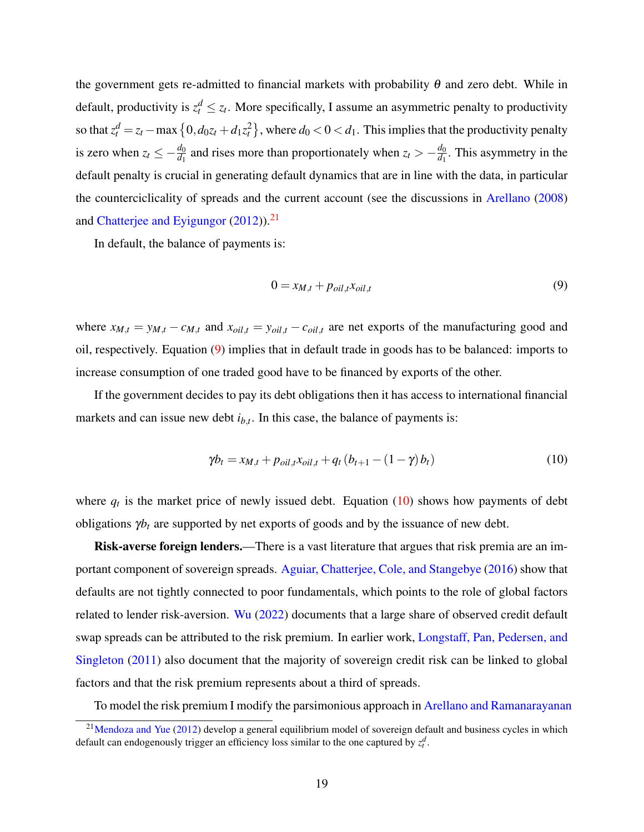<span id="page-19-3"></span>the government gets re-admitted to financial markets with probability  $\theta$  and zero debt. While in default, productivity is  $z_t^d \leq z_t$ . More specifically, I assume an asymmetric penalty to productivity so that  $z_t^d = z_t - \max\left\{0, d_0z_t + d_1z_t^2\right\}$ , where  $d_0 < 0 < d_1$ . This implies that the productivity penalty is zero when  $z_t \le -\frac{d_0}{d_1}$  and rises more than proportionately when  $z_t > -\frac{d_0}{d_1}$  $\frac{a_0}{d_1}$ . This asymmetry in the default penalty is crucial in generating default dynamics that are in line with the data, in particular the counterciclicality of spreads and the current account (see the discussions in [Arellano](#page-40-3) [\(2008\)](#page-40-3) and [Chatterjee and Eyigungor](#page-41-1)  $(2012)$ <sup>[21](#page-19-0)</sup>

In default, the balance of payments is:

<span id="page-19-1"></span>
$$
0 = x_{M,t} + p_{oil,t}x_{oil,t} \tag{9}
$$

where  $x_{M,t} = y_{M,t} - c_{M,t}$  and  $x_{oil,t} = y_{oil,t} - c_{oil,t}$  are net exports of the manufacturing good and oil, respectively. Equation [\(9\)](#page-19-1) implies that in default trade in goods has to be balanced: imports to increase consumption of one traded good have to be financed by exports of the other.

If the government decides to pay its debt obligations then it has access to international financial markets and can issue new debt  $i_{b,t}$ . In this case, the balance of payments is:

<span id="page-19-2"></span>
$$
\gamma b_t = x_{M,t} + p_{oil,t} x_{oil,t} + q_t (b_{t+1} - (1 - \gamma) b_t)
$$
\n(10)

where  $q_t$  is the market price of newly issued debt. Equation [\(10\)](#page-19-2) shows how payments of debt obligations  $\gamma b_t$  are supported by net exports of goods and by the issuance of new debt.

Risk-averse foreign lenders.—There is a vast literature that argues that risk premia are an important component of sovereign spreads. [Aguiar, Chatterjee, Cole, and Stangebye](#page-40-7) [\(2016\)](#page-40-7) show that defaults are not tightly connected to poor fundamentals, which points to the role of global factors related to lender risk-aversion. [Wu](#page-43-4) [\(2022\)](#page-43-4) documents that a large share of observed credit default swap spreads can be attributed to the risk premium. In earlier work, [Longstaff, Pan, Pedersen, and](#page-42-8) [Singleton](#page-42-8) [\(2011\)](#page-42-8) also document that the majority of sovereign credit risk can be linked to global factors and that the risk premium represents about a third of spreads.

To model the risk premium I modify the parsimonious approach in [Arellano and Ramanarayanan](#page-40-8)

<span id="page-19-0"></span> $^{21}$ [Mendoza and Yue](#page-43-5) [\(2012\)](#page-43-5) develop a general equilibrium model of sovereign default and business cycles in which default can endogenously trigger an efficiency loss similar to the one captured by  $z_t^d$ .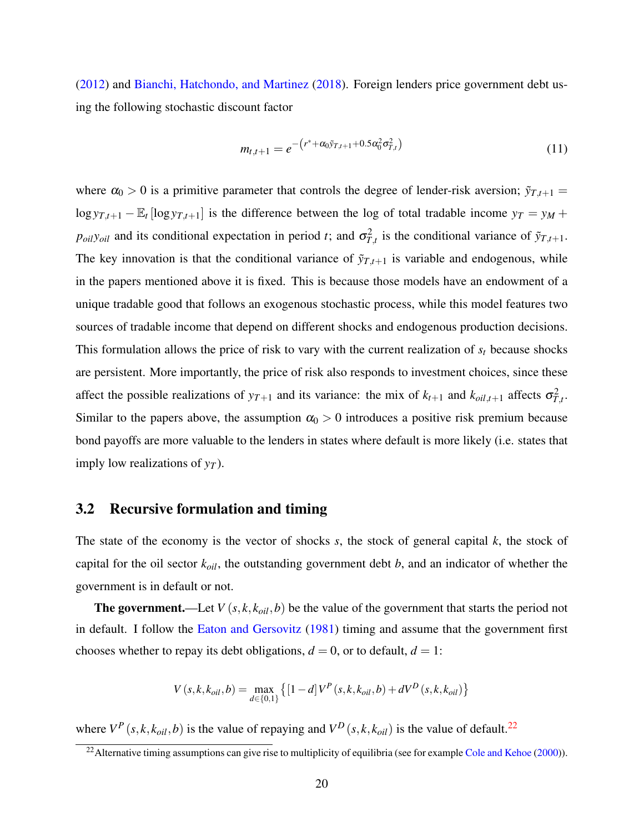<span id="page-20-2"></span>[\(2012\)](#page-40-8) and [Bianchi, Hatchondo, and Martinez](#page-41-6) [\(2018\)](#page-41-6). Foreign lenders price government debt using the following stochastic discount factor

<span id="page-20-1"></span>
$$
m_{t,t+1} = e^{-\left(r^* + \alpha_0 \tilde{y}_{T,t+1} + 0.5\alpha_0^2 \sigma_{T,t}^2\right)}
$$
\n(11)

where  $\alpha_0 > 0$  is a primitive parameter that controls the degree of lender-risk aversion;  $\tilde{y}_{T,t+1} =$ log<sub>*yT*,*t*+1</sub> –  $\mathbb{E}_t$  [log<sub>*yT*,*t*+1] is the difference between the log of total tradable income *y<sub>T</sub>* = *y<sub>M</sub>* +</sub> *p*<sub>oil</sub>*y*<sub>oil</sub> and its conditional expectation in period *t*; and  $\sigma_{T,t}^2$  is the conditional variance of  $\tilde{y}_{T,t+1}$ . The key innovation is that the conditional variance of  $\tilde{y}_{T,t+1}$  is variable and endogenous, while in the papers mentioned above it is fixed. This is because those models have an endowment of a unique tradable good that follows an exogenous stochastic process, while this model features two sources of tradable income that depend on different shocks and endogenous production decisions. This formulation allows the price of risk to vary with the current realization of *s<sup>t</sup>* because shocks are persistent. More importantly, the price of risk also responds to investment choices, since these affect the possible realizations of  $y_{T+1}$  and its variance: the mix of  $k_{t+1}$  and  $k_{oil,t+1}$  affects  $\sigma_{T,t}^2$ . Similar to the papers above, the assumption  $\alpha_0 > 0$  introduces a positive risk premium because bond payoffs are more valuable to the lenders in states where default is more likely (i.e. states that imply low realizations of  $y<sub>T</sub>$ ).

#### 3.2 Recursive formulation and timing

The state of the economy is the vector of shocks *s*, the stock of general capital *k*, the stock of capital for the oil sector *koil*, the outstanding government debt *b*, and an indicator of whether the government is in default or not.

**The government.**—Let  $V(s, k, k_{oil}, b)$  be the value of the government that starts the period not in default. I follow the [Eaton and Gersovitz](#page-41-0) [\(1981\)](#page-41-0) timing and assume that the government first chooses whether to repay its debt obligations,  $d = 0$ , or to default,  $d = 1$ :

$$
V(s, k, k_{oil}, b) = \max_{d \in \{0, 1\}} \left\{ [1 - d] V^P(s, k, k_{oil}, b) + dV^D(s, k, k_{oil}) \right\}
$$

where  $V^P(s, k, k_{oil}, b)$  is the value of repaying and  $V^D(s, k, k_{oil})$  is the value of default.<sup>[22](#page-20-0)</sup>

<span id="page-20-0"></span> $22$ Alternative timing assumptions can give rise to multiplicity of equilibria (see for example [Cole and Kehoe](#page-41-7) [\(2000\)](#page-41-7)).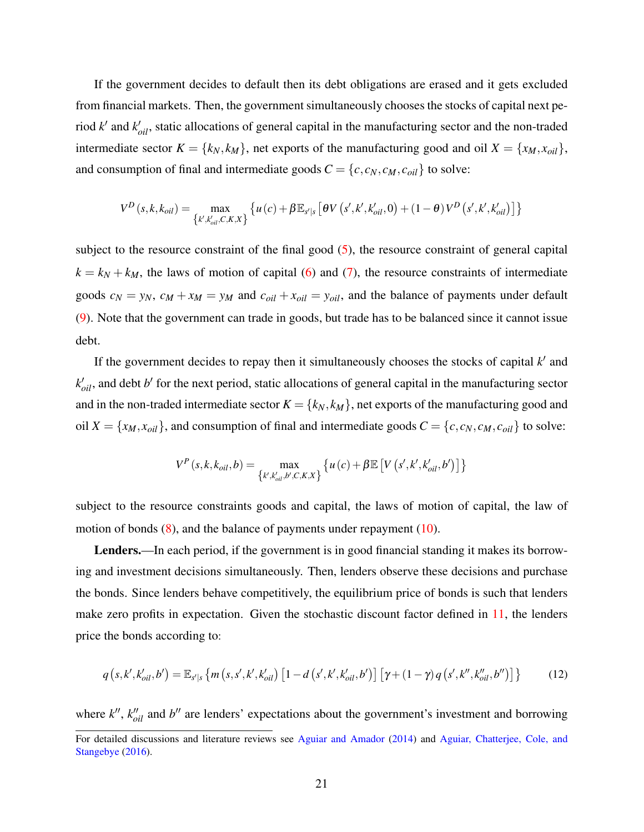<span id="page-21-1"></span>If the government decides to default then its debt obligations are erased and it gets excluded from financial markets. Then, the government simultaneously chooses the stocks of capital next period  $k'$  and  $k'_{oil}$ , static allocations of general capital in the manufacturing sector and the non-traded intermediate sector  $K = \{k_N, k_M\}$ , net exports of the manufacturing good and oil  $X = \{x_M, x_{oil}\}$ , and consumption of final and intermediate goods  $C = \{c, c_N, c_M, c_{oil}\}$  to solve:

$$
V^{D}\left(s,k,k_{oil}\right)=\max_{\left\{\boldsymbol{k}',\boldsymbol{k}'_{oil},\boldsymbol{C},\boldsymbol{K},\boldsymbol{X}\right\}}\left\{u\left(\boldsymbol{c}\right)+\beta\mathbb{E}_{s'|s}\left[\theta V\left(s',k',k'_{oil},0\right)+\left(1-\theta\right)V^{D}\left(s',k',k'_{oil}\right)\right]\right\}
$$

subject to the resource constraint of the final good  $(5)$ , the resource constraint of general capital  $k = k_N + k_M$ , the laws of motion of capital [\(6\)](#page-17-2) and [\(7\)](#page-17-3), the resource constraints of intermediate goods  $c_N = y_N$ ,  $c_M + x_M = y_M$  and  $c_{oil} + x_{oil} = y_{oil}$ , and the balance of payments under default [\(9\)](#page-19-1). Note that the government can trade in goods, but trade has to be balanced since it cannot issue debt.

If the government decides to repay then it simultaneously chooses the stocks of capital  $k'$  and  $k'_{oil}$ , and debt *b*<sup> $\prime$ </sup> for the next period, static allocations of general capital in the manufacturing sector and in the non-traded intermediate sector  $K = \{k_N, k_M\}$ , net exports of the manufacturing good and oil  $X = \{x_M, x_{oil}\}$ , and consumption of final and intermediate goods  $C = \{c, c_N, c_M, c_{oil}\}$  to solve:

$$
V^{P}(s, k, k_{oil}, b) = \max_{\{k', k'_{oil}, b', C, K, X\}} \{u(c) + \beta \mathbb{E}\left[V(s', k', k'_{oil}, b')\right]\}
$$

subject to the resource constraints goods and capital, the laws of motion of capital, the law of motion of bonds  $(8)$ , and the balance of payments under repayment  $(10)$ .

Lenders.—In each period, if the government is in good financial standing it makes its borrowing and investment decisions simultaneously. Then, lenders observe these decisions and purchase the bonds. Since lenders behave competitively, the equilibrium price of bonds is such that lenders make zero profits in expectation. Given the stochastic discount factor defined in [11,](#page-20-1) the lenders price the bonds according to:

<span id="page-21-0"></span>
$$
q(s, k', k'_{oil}, b') = \mathbb{E}_{s'|s} \{ m(s, s', k', k'_{oil}) [1 - d(s', k', k'_{oil}, b')] [\gamma + (1 - \gamma) q(s', k'', k''_{oil}, b'')] \}
$$
(12)

where  $k''$ ,  $k''_{oil}$  and  $b''$  are lenders' expectations about the government's investment and borrowing

For detailed discussions and literature reviews see [Aguiar and Amador](#page-40-9) [\(2014\)](#page-40-9) and [Aguiar, Chatterjee, Cole, and](#page-40-7) [Stangebye](#page-40-7) [\(2016\)](#page-40-7).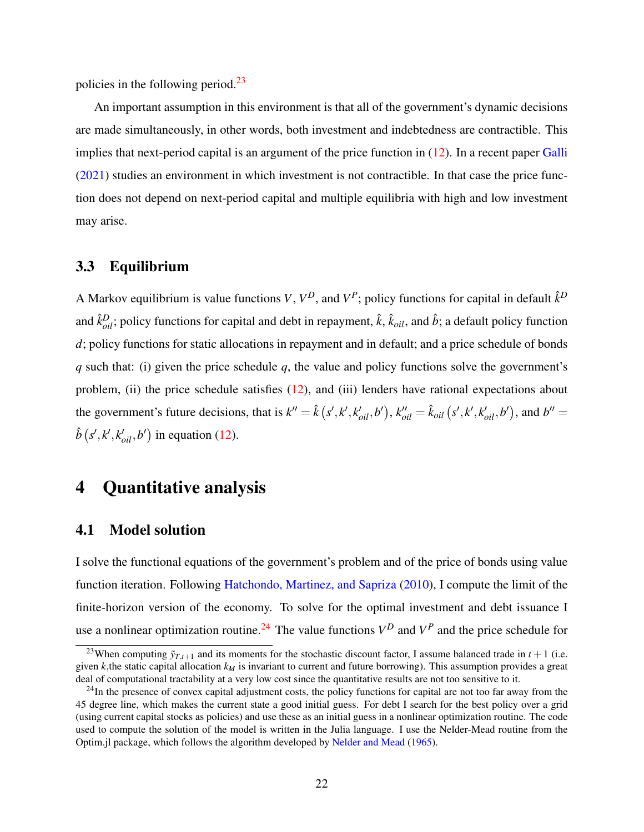<span id="page-22-3"></span>policies in the following period.[23](#page-22-1)

An important assumption in this environment is that all of the government's dynamic decisions are made simultaneously, in other words, both investment and indebtedness are contractible. This implies that next-period capital is an argument of the price function in [\(12\)](#page-21-0). In a recent paper [Galli](#page-41-8) [\(2021\)](#page-41-8) studies an environment in which investment is not contractible. In that case the price function does not depend on next-period capital and multiple equilibria with high and low investment may arise.

### 3.3 Equilibrium

A Markov equilibrium is value functions *V*,  $V^D$ , and  $V^P$ ; policy functions for capital in default  $\hat{k}^D$ and  $\hat{k}_{oil}^D$ ; policy functions for capital and debt in repayment,  $\hat{k}$ ,  $\hat{k}_{oil}$ , and  $\hat{b}$ ; a default policy function *d*; policy functions for static allocations in repayment and in default; and a price schedule of bonds *q* such that: (i) given the price schedule *q*, the value and policy functions solve the government's problem, (ii) the price schedule satisfies  $(12)$ , and (iii) lenders have rational expectations about the government's future decisions, that is  $k'' = \hat{k}(s', k', k'_{oil}, b')$ ,  $k''_{oil} = \hat{k}_{oil}(s', k', k'_{oil}, b')$ , and  $b'' =$  $\hat{b}(s', k', k'_{oil}, b')$  in equation [\(12\)](#page-21-0).

## <span id="page-22-0"></span>4 Quantitative analysis

#### 4.1 Model solution

I solve the functional equations of the government's problem and of the price of bonds using value function iteration. Following [Hatchondo, Martinez, and Sapriza](#page-42-9) [\(2010\)](#page-42-9), I compute the limit of the finite-horizon version of the economy. To solve for the optimal investment and debt issuance I use a nonlinear optimization routine.<sup>[24](#page-22-2)</sup> The value functions  $V^D$  and  $V^P$  and the price schedule for

<span id="page-22-1"></span><sup>&</sup>lt;sup>23</sup>When computing  $\tilde{\gamma}_{T,t+1}$  and its moments for the stochastic discount factor, I assume balanced trade in  $t+1$  (i.e. given *k*,the static capital allocation *k<sup>M</sup>* is invariant to current and future borrowing). This assumption provides a great deal of computational tractability at a very low cost since the quantitative results are not too sensitive to it.

<span id="page-22-2"></span> $^{24}$ In the presence of convex capital adjustment costs, the policy functions for capital are not too far away from the 45 degree line, which makes the current state a good initial guess. For debt I search for the best policy over a grid (using current capital stocks as policies) and use these as an initial guess in a nonlinear optimization routine. The code used to compute the solution of the model is written in the Julia language. I use the Nelder-Mead routine from the Optim.jl package, which follows the algorithm developed by [Nelder and Mead](#page-43-6) [\(1965\)](#page-43-6).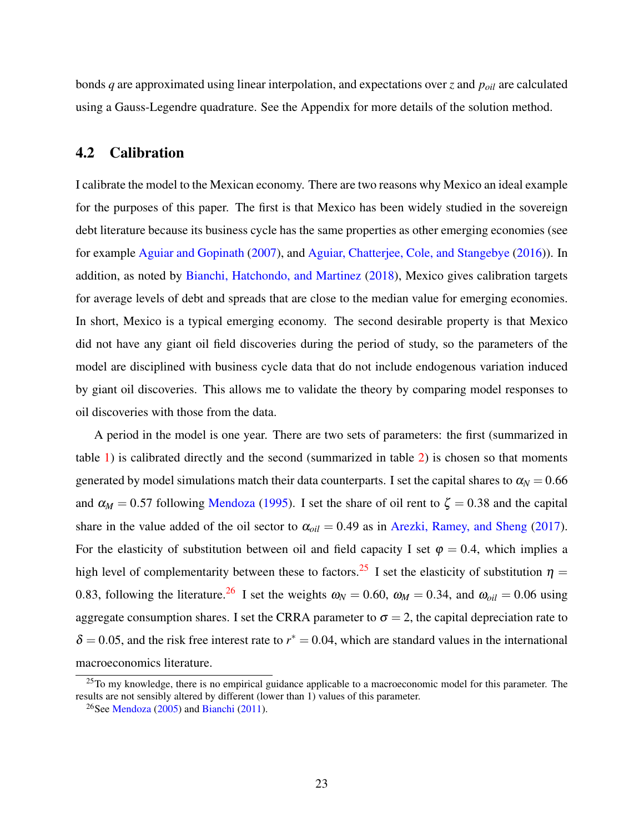<span id="page-23-2"></span>bonds *q* are approximated using linear interpolation, and expectations over *z* and *poil* are calculated using a Gauss-Legendre quadrature. See the Appendix for more details of the solution method.

### 4.2 Calibration

I calibrate the model to the Mexican economy. There are two reasons why Mexico an ideal example for the purposes of this paper. The first is that Mexico has been widely studied in the sovereign debt literature because its business cycle has the same properties as other emerging economies (see for example [Aguiar and Gopinath](#page-40-10) [\(2007\)](#page-40-10), and [Aguiar, Chatterjee, Cole, and Stangebye](#page-40-7) [\(2016\)](#page-40-7)). In addition, as noted by [Bianchi, Hatchondo, and Martinez](#page-41-6) [\(2018\)](#page-41-6), Mexico gives calibration targets for average levels of debt and spreads that are close to the median value for emerging economies. In short, Mexico is a typical emerging economy. The second desirable property is that Mexico did not have any giant oil field discoveries during the period of study, so the parameters of the model are disciplined with business cycle data that do not include endogenous variation induced by giant oil discoveries. This allows me to validate the theory by comparing model responses to oil discoveries with those from the data.

A period in the model is one year. There are two sets of parameters: the first (summarized in table [1\)](#page-24-0) is calibrated directly and the second (summarized in table [2\)](#page-26-0) is chosen so that moments generated by model simulations match their data counterparts. I set the capital shares to  $\alpha_N = 0.66$ and  $\alpha_M = 0.57$  following [Mendoza](#page-43-7) [\(1995\)](#page-43-7). I set the share of oil rent to  $\zeta = 0.38$  and the capital share in the value added of the oil sector to  $\alpha_{oil} = 0.49$  as in [Arezki, Ramey, and Sheng](#page-40-0) [\(2017\)](#page-40-0). For the elasticity of substitution between oil and field capacity I set  $\varphi = 0.4$ , which implies a high level of complementarity between these to factors.<sup>[25](#page-23-0)</sup> I set the elasticity of substitution  $\eta$  = 0.83, following the literature.<sup>[26](#page-23-1)</sup> I set the weights  $\omega_N = 0.60$ ,  $\omega_M = 0.34$ , and  $\omega_{oil} = 0.06$  using aggregate consumption shares. I set the CRRA parameter to  $\sigma = 2$ , the capital depreciation rate to  $\delta = 0.05$ , and the risk free interest rate to  $r^* = 0.04$ , which are standard values in the international macroeconomics literature.

<span id="page-23-0"></span> $^{25}$ To my knowledge, there is no empirical guidance applicable to a macroeconomic model for this parameter. The results are not sensibly altered by different (lower than 1) values of this parameter.

<span id="page-23-1"></span><sup>&</sup>lt;sup>26</sup>See [Mendoza](#page-43-8) [\(2005\)](#page-43-8) and [Bianchi](#page-41-9) [\(2011\)](#page-41-9).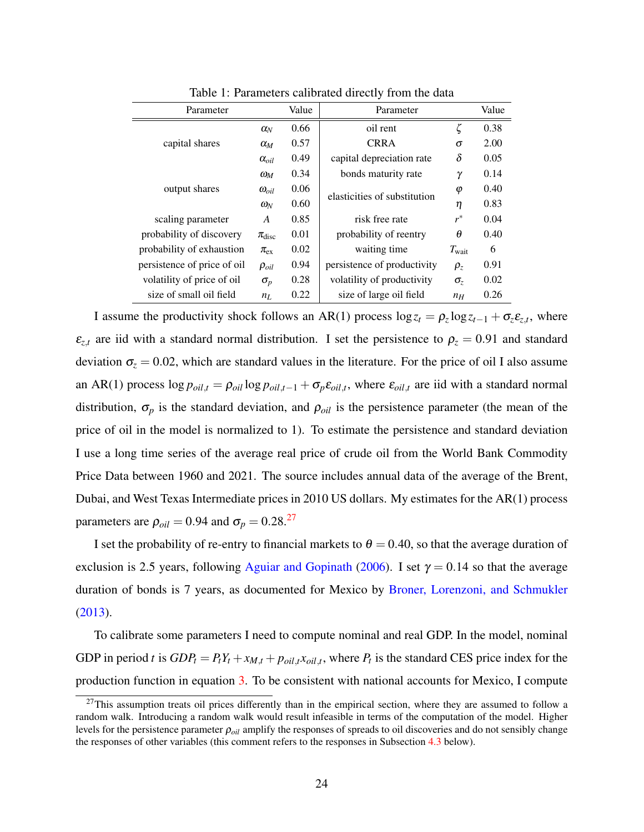<span id="page-24-2"></span><span id="page-24-0"></span>

| Parameter                   |                     | Value | Parameter                    |                   | Value |
|-----------------------------|---------------------|-------|------------------------------|-------------------|-------|
|                             | $\alpha_N$          | 0.66  | oil rent                     | ζ                 | 0.38  |
| capital shares              | $\alpha_M$          | 0.57  | <b>CRRA</b>                  |                   | 2.00  |
|                             | $\alpha_{oil}$      | 0.49  | capital depreciation rate    | $\delta$          | 0.05  |
|                             | $\omega_M$          | 0.34  | bonds maturity rate          | γ                 | 0.14  |
| output shares               | $\omega_{oil}$      | 0.06  | elasticities of substitution | $\varphi$         | 0.40  |
|                             | $\omega_N$          | 0.60  |                              | η                 | 0.83  |
| scaling parameter           | A                   | 0.85  | risk free rate               | $r^*$             | 0.04  |
| probability of discovery    | $\pi_{disc}$        | 0.01  | probability of reentry       | θ                 | 0.40  |
| probability of exhaustion   | $\pi_{\mathrm{ex}}$ | 0.02  | waiting time                 | $T_{\text{wait}}$ | 6     |
| persistence of price of oil | $\rho_{oil}$        | 0.94  | persistence of productivity  | $\rho_z$          | 0.91  |
| volatility of price of oil  | $\sigma_p$          | 0.28  | volatility of productivity   | $\sigma_z$        | 0.02  |
| size of small oil field     | $n_{L}$             | 0.22  | size of large oil field      | $n_H$             | 0.26  |

Table 1: Parameters calibrated directly from the data

I assume the productivity shock follows an AR(1) process  $\log z_t = \rho_z \log z_{t-1} + \sigma_z \varepsilon_{z,t}$ , where  $\varepsilon_{z,t}$  are iid with a standard normal distribution. I set the persistence to  $\rho_z = 0.91$  and standard deviation  $\sigma_z = 0.02$ , which are standard values in the literature. For the price of oil I also assume an AR(1) process  $\log p_{oil,t} = \rho_{oil} \log p_{oil,t-1} + \sigma_p \varepsilon_{oil,t}$ , where  $\varepsilon_{oil,t}$  are iid with a standard normal distribution,  $\sigma_p$  is the standard deviation, and  $\rho_{oil}$  is the persistence parameter (the mean of the price of oil in the model is normalized to 1). To estimate the persistence and standard deviation I use a long time series of the average real price of crude oil from the World Bank Commodity Price Data between 1960 and 2021. The source includes annual data of the average of the Brent, Dubai, and West Texas Intermediate prices in 2010 US dollars. My estimates for the AR(1) process parameters are  $\rho_{oil} = 0.94$  and  $\sigma_p = 0.28$ .<sup>[27](#page-24-1)</sup>

I set the probability of re-entry to financial markets to  $\theta = 0.40$ , so that the average duration of exclusion is 2.5 years, following [Aguiar and Gopinath](#page-40-2) [\(2006\)](#page-40-2). I set  $\gamma = 0.14$  so that the average duration of bonds is 7 years, as documented for Mexico by [Broner, Lorenzoni, and Schmukler](#page-41-10) [\(2013\)](#page-41-10).

To calibrate some parameters I need to compute nominal and real GDP. In the model, nominal GDP in period t is  $GDP_t = P_tY_t + x_{M,t} + p_{oil,t}x_{oil,t}$ , where  $P_t$  is the standard CES price index for the production function in equation [3.](#page-16-4) To be consistent with national accounts for Mexico, I compute

<span id="page-24-1"></span> $27$ This assumption treats oil prices differently than in the empirical section, where they are assumed to follow a random walk. Introducing a random walk would result infeasible in terms of the computation of the model. Higher levels for the persistence parameter ρ*oil* amplify the responses of spreads to oil discoveries and do not sensibly change the responses of other variables (this comment refers to the responses in Subsection [4.3](#page-27-0) below).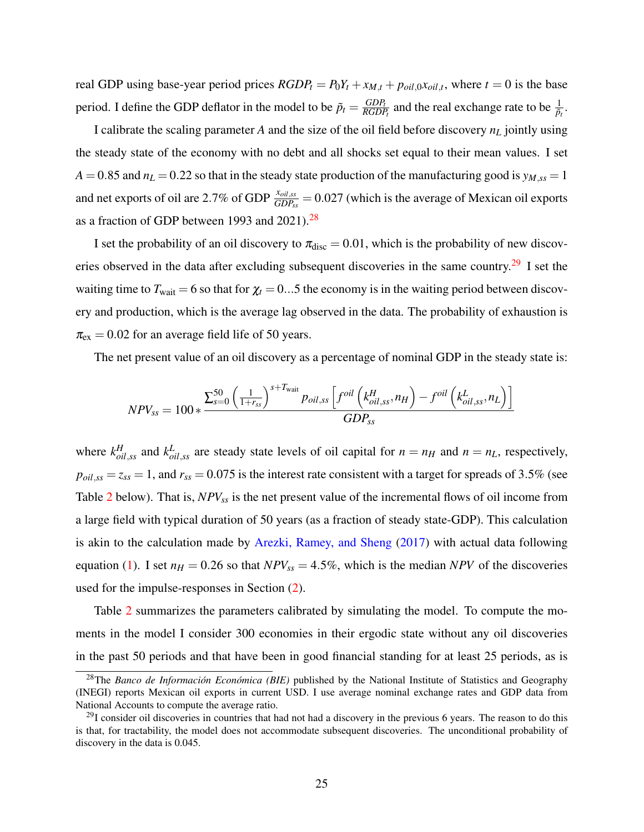<span id="page-25-2"></span>real GDP using base-year period prices  $RGDP_t = P_0Y_t + x_{M,t} + p_{oil,0}x_{oil,t}$ , where  $t = 0$  is the base period. I define the GDP deflator in the model to be  $\tilde{p}_t = \frac{GDP_t}{RGDP_t}$  $\frac{GDP_t}{RGDP_t}$  and the real exchange rate to be  $\frac{1}{\tilde{p}_t}$ .

I calibrate the scaling parameter *A* and the size of the oil field before discovery *n<sup>L</sup>* jointly using the steady state of the economy with no debt and all shocks set equal to their mean values. I set  $A = 0.85$  and  $n<sub>L</sub> = 0.22$  so that in the steady state production of the manufacturing good is  $y<sub>M,ss</sub> = 1$ and net exports of oil are 2.7% of GDP  $\frac{x_{oil,ss}}{GDP_{ss}} = 0.027$  (which is the average of Mexican oil exports as a fraction of GDP between 1993 and  $2021$ .<sup>[28](#page-25-0)</sup>

I set the probability of an oil discovery to  $\pi_{disc} = 0.01$ , which is the probability of new discov-eries observed in the data after excluding subsequent discoveries in the same country.<sup>[29](#page-25-1)</sup> I set the waiting time to  $T_{\text{wait}} = 6$  so that for  $\chi_t = 0...5$  the economy is in the waiting period between discovery and production, which is the average lag observed in the data. The probability of exhaustion is  $\pi_{\text{ex}} = 0.02$  for an average field life of 50 years.

The net present value of an oil discovery as a percentage of nominal GDP in the steady state is:

$$
NPV_{ss} = 100 * \frac{\sum_{s=0}^{50} \left(\frac{1}{1+r_{ss}}\right)^{s+T_{wait}} P_{oil,ss} \left[ f^{oil} \left(k_{oil,ss}^H, n_H \right) - f^{oil} \left(k_{oil,ss}^L, n_L \right) \right]}{GDP_{ss}}
$$

where  $k_{oil,ss}^H$  and  $k_{oil,ss}^L$  are steady state levels of oil capital for  $n = n_H$  and  $n = n_L$ , respectively,  $p_{oil,ss} = z_{ss} = 1$ , and  $r_{ss} = 0.075$  is the interest rate consistent with a target for spreads of 3.5% (see Table [2](#page-26-0) below). That is, *NPVss* is the net present value of the incremental flows of oil income from a large field with typical duration of 50 years (as a fraction of steady state-GDP). This calculation is akin to the calculation made by [Arezki, Ramey, and Sheng](#page-40-0) [\(2017\)](#page-40-0) with actual data following equation [\(1\)](#page-7-3). I set  $n_H = 0.26$  so that  $NPV_{ss} = 4.5\%$ , which is the median *NPV* of the discoveries used for the impulse-responses in Section [\(2\)](#page-6-0).

Table [2](#page-26-0) summarizes the parameters calibrated by simulating the model. To compute the moments in the model I consider 300 economies in their ergodic state without any oil discoveries in the past 50 periods and that have been in good financial standing for at least 25 periods, as is

<span id="page-25-0"></span><sup>28</sup>The *Banco de Información Económica (BIE)* published by the National Institute of Statistics and Geography (INEGI) reports Mexican oil exports in current USD. I use average nominal exchange rates and GDP data from National Accounts to compute the average ratio.

<span id="page-25-1"></span> $^{29}$ I consider oil discoveries in countries that had not had a discovery in the previous 6 years. The reason to do this is that, for tractability, the model does not accommodate subsequent discoveries. The unconditional probability of discovery in the data is 0.045.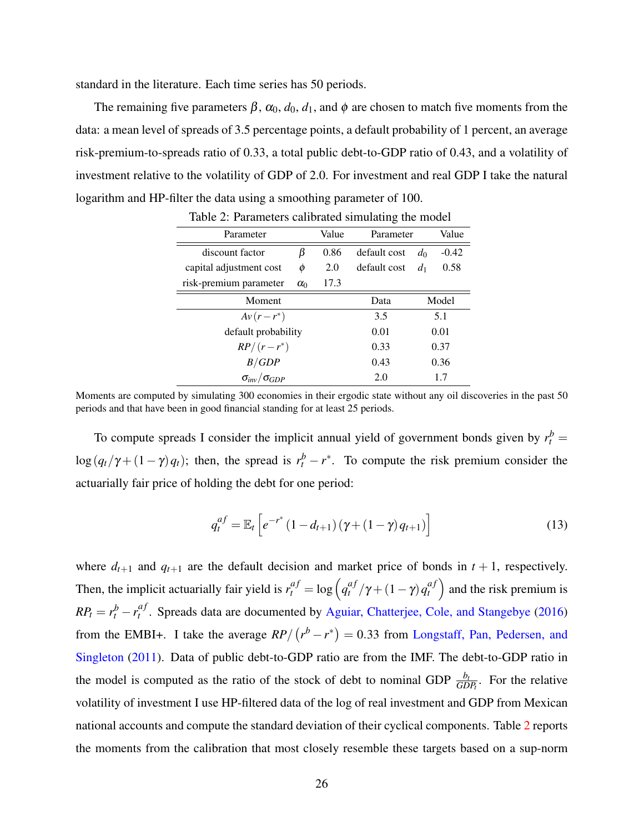<span id="page-26-1"></span>standard in the literature. Each time series has 50 periods.

<span id="page-26-0"></span>The remaining five parameters  $\beta$ ,  $\alpha_0$ ,  $d_0$ ,  $d_1$ , and  $\phi$  are chosen to match five moments from the data: a mean level of spreads of 3.5 percentage points, a default probability of 1 percent, an average risk-premium-to-spreads ratio of 0.33, a total public debt-to-GDP ratio of 0.43, and a volatility of investment relative to the volatility of GDP of 2.0. For investment and real GDP I take the natural logarithm and HP-filter the data using a smoothing parameter of 100.

| Parameter                            | Value | Parameter |              | Value |         |
|--------------------------------------|-------|-----------|--------------|-------|---------|
| β<br>discount factor                 |       | 0.86      | default cost | $d_0$ | $-0.42$ |
| capital adjustment cost<br>φ         |       | 2.0       | default cost | $d_1$ | 0.58    |
| risk-premium parameter<br>$\alpha_0$ |       | 17.3      |              |       |         |
| Moment                               |       | Data      | Model        |       |         |
| $Av(r-r^*)$                          |       | 3.5       | 5.1          |       |         |
| default probability                  |       | 0.01      | 0.01         |       |         |
| $RP/(r-r^*)$                         |       | 0.33      | 0.37         |       |         |
| B/GDP                                |       | 0.43      |              | 0.36  |         |
| $\sigma_{inv}/\sigma_{GDP}$          |       | 2.0       |              | 17    |         |

Table 2: Parameters calibrated simulating the model

Moments are computed by simulating 300 economies in their ergodic state without any oil discoveries in the past 50 periods and that have been in good financial standing for at least 25 periods.

To compute spreads I consider the implicit annual yield of government bonds given by  $r_t^b =$  $\log(q_t/\gamma + (1-\gamma)q_t)$ ; then, the spread is  $r_t^b - r^*$ . To compute the risk premium consider the actuarially fair price of holding the debt for one period:

$$
q_t^{af} = \mathbb{E}_t \left[ e^{-r^*} \left( 1 - d_{t+1} \right) \left( \gamma + (1 - \gamma) q_{t+1} \right) \right]
$$
 (13)

where  $d_{t+1}$  and  $q_{t+1}$  are the default decision and market price of bonds in  $t + 1$ , respectively. Then, the implicit actuarially fair yield is  $r_t^{af} = \log \left( q_t^{af} / \gamma + (1 - \gamma) q_t^{af} \right)$  $\binom{af}{t}$  and the risk premium is  $RP_t = r_t^b - r_t^{af}$  $t<sup>u</sup>$ . Spreads data are documented by [Aguiar, Chatterjee, Cole, and Stangebye](#page-40-7) [\(2016\)](#page-40-7) from the EMBI+. I take the average  $RP/(r^b - r^*) = 0.33$  from [Longstaff, Pan, Pedersen, and](#page-42-8) [Singleton](#page-42-8) [\(2011\)](#page-42-8). Data of public debt-to-GDP ratio are from the IMF. The debt-to-GDP ratio in the model is computed as the ratio of the stock of debt to nominal GDP  $\frac{b_t}{GDP_t}$ . For the relative volatility of investment I use HP-filtered data of the log of real investment and GDP from Mexican national accounts and compute the standard deviation of their cyclical components. Table [2](#page-26-0) reports the moments from the calibration that most closely resemble these targets based on a sup-norm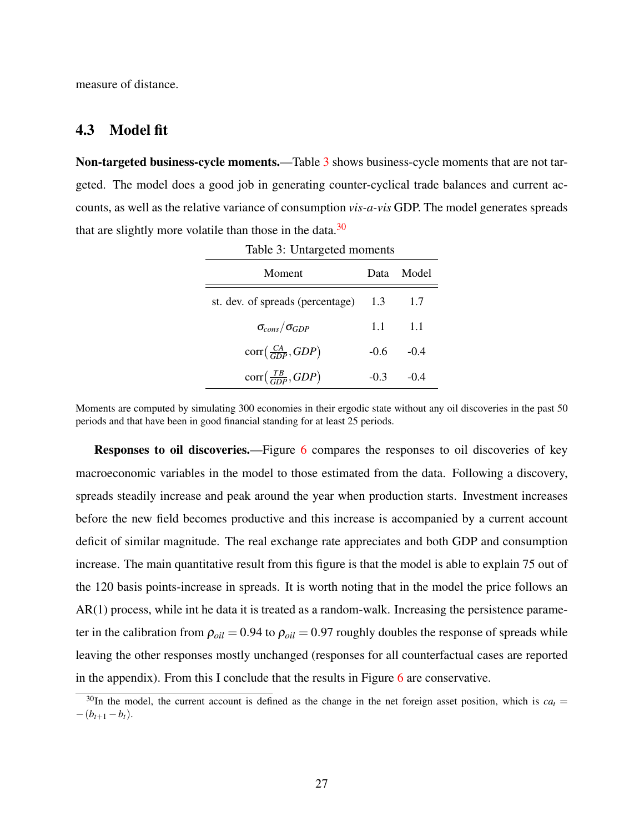measure of distance.

### <span id="page-27-0"></span>4.3 Model fit

<span id="page-27-1"></span>Non-targeted business-cycle moments.—Table [3](#page-27-1) shows business-cycle moments that are not targeted. The model does a good job in generating counter-cyclical trade balances and current accounts, as well as the relative variance of consumption *vis-a-vis* GDP. The model generates spreads that are slightly more volatile than those in the data. $30$ 

| Moment                                        | Data   | Model  |  |
|-----------------------------------------------|--------|--------|--|
| st. dev. of spreads (percentage)              | 1.3    | 1.7    |  |
| $\sigma_{cons}/\sigma_{GDP}$                  | 1.1    | $-1.1$ |  |
| $\text{corr}\left(\frac{CA}{GDP}, GDP\right)$ | $-0.6$ | $-0.4$ |  |
| $\text{corr}\left(\frac{TB}{GDP}, GDP\right)$ | $-0.3$ | $-0.4$ |  |

Table 3: Untargeted moments

Moments are computed by simulating 300 economies in their ergodic state without any oil discoveries in the past 50 periods and that have been in good financial standing for at least 25 periods.

**Responses to oil discoveries.**—Figure [6](#page-28-0) compares the responses to oil discoveries of key macroeconomic variables in the model to those estimated from the data. Following a discovery, spreads steadily increase and peak around the year when production starts. Investment increases before the new field becomes productive and this increase is accompanied by a current account deficit of similar magnitude. The real exchange rate appreciates and both GDP and consumption increase. The main quantitative result from this figure is that the model is able to explain 75 out of the 120 basis points-increase in spreads. It is worth noting that in the model the price follows an AR(1) process, while int he data it is treated as a random-walk. Increasing the persistence parameter in the calibration from  $\rho_{oil} = 0.94$  to  $\rho_{oil} = 0.97$  roughly doubles the response of spreads while leaving the other responses mostly unchanged (responses for all counterfactual cases are reported in the appendix). From this I conclude that the results in Figure [6](#page-28-0) are conservative.

<span id="page-27-2"></span><sup>&</sup>lt;sup>30</sup>In the model, the current account is defined as the change in the net foreign asset position, which is  $ca<sub>t</sub> =$  $-(b_{t+1}-b_t).$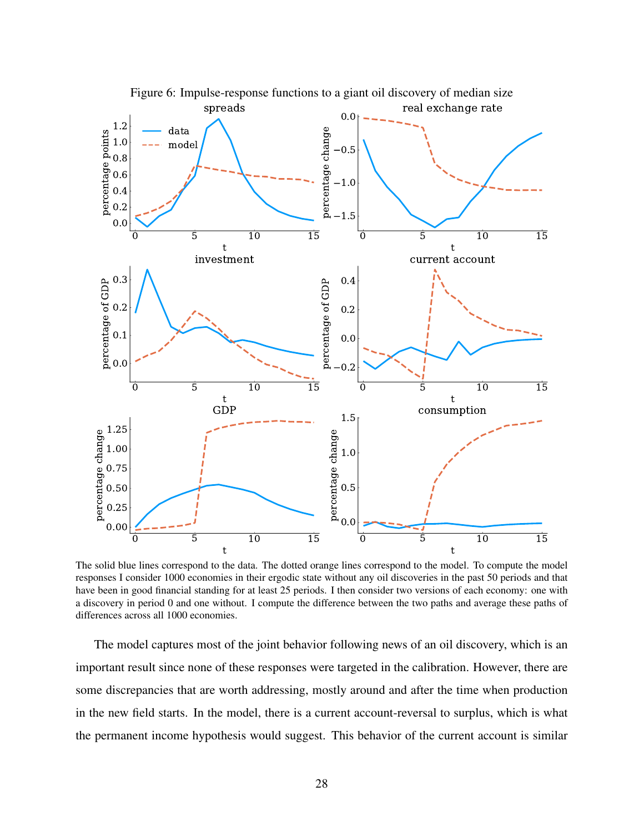<span id="page-28-0"></span>

The solid blue lines correspond to the data. The dotted orange lines correspond to the model. To compute the model responses I consider 1000 economies in their ergodic state without any oil discoveries in the past 50 periods and that have been in good financial standing for at least 25 periods. I then consider two versions of each economy: one with a discovery in period 0 and one without. I compute the difference between the two paths and average these paths of differences across all 1000 economies.

The model captures most of the joint behavior following news of an oil discovery, which is an important result since none of these responses were targeted in the calibration. However, there are some discrepancies that are worth addressing, mostly around and after the time when production in the new field starts. In the model, there is a current account-reversal to surplus, which is what the permanent income hypothesis would suggest. This behavior of the current account is similar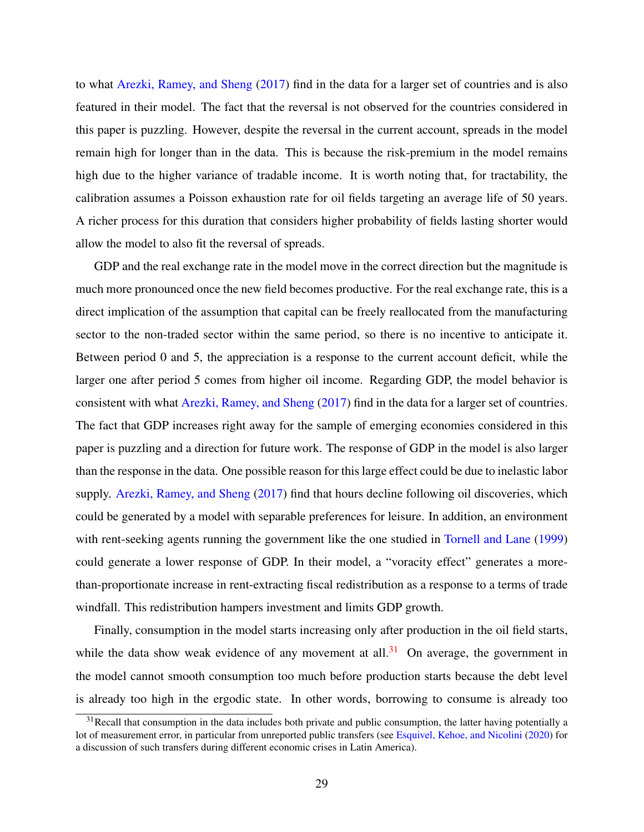<span id="page-29-1"></span>to what [Arezki, Ramey, and Sheng](#page-40-0) [\(2017\)](#page-40-0) find in the data for a larger set of countries and is also featured in their model. The fact that the reversal is not observed for the countries considered in this paper is puzzling. However, despite the reversal in the current account, spreads in the model remain high for longer than in the data. This is because the risk-premium in the model remains high due to the higher variance of tradable income. It is worth noting that, for tractability, the calibration assumes a Poisson exhaustion rate for oil fields targeting an average life of 50 years. A richer process for this duration that considers higher probability of fields lasting shorter would allow the model to also fit the reversal of spreads.

GDP and the real exchange rate in the model move in the correct direction but the magnitude is much more pronounced once the new field becomes productive. For the real exchange rate, this is a direct implication of the assumption that capital can be freely reallocated from the manufacturing sector to the non-traded sector within the same period, so there is no incentive to anticipate it. Between period 0 and 5, the appreciation is a response to the current account deficit, while the larger one after period 5 comes from higher oil income. Regarding GDP, the model behavior is consistent with what [Arezki, Ramey, and Sheng](#page-40-0) [\(2017\)](#page-40-0) find in the data for a larger set of countries. The fact that GDP increases right away for the sample of emerging economies considered in this paper is puzzling and a direction for future work. The response of GDP in the model is also larger than the response in the data. One possible reason for this large effect could be due to inelastic labor supply. [Arezki, Ramey, and Sheng](#page-40-0) [\(2017\)](#page-40-0) find that hours decline following oil discoveries, which could be generated by a model with separable preferences for leisure. In addition, an environment with rent-seeking agents running the government like the one studied in [Tornell and Lane](#page-43-9) [\(1999\)](#page-43-9) could generate a lower response of GDP. In their model, a "voracity effect" generates a morethan-proportionate increase in rent-extracting fiscal redistribution as a response to a terms of trade windfall. This redistribution hampers investment and limits GDP growth.

Finally, consumption in the model starts increasing only after production in the oil field starts, while the data show weak evidence of any movement at all. $31$  On average, the government in the model cannot smooth consumption too much before production starts because the debt level is already too high in the ergodic state. In other words, borrowing to consume is already too

<span id="page-29-0"></span> $31$ Recall that consumption in the data includes both private and public consumption, the latter having potentially a lot of measurement error, in particular from unreported public transfers (see [Esquivel, Kehoe, and Nicolini](#page-41-11) [\(2020\)](#page-41-11) for a discussion of such transfers during different economic crises in Latin America).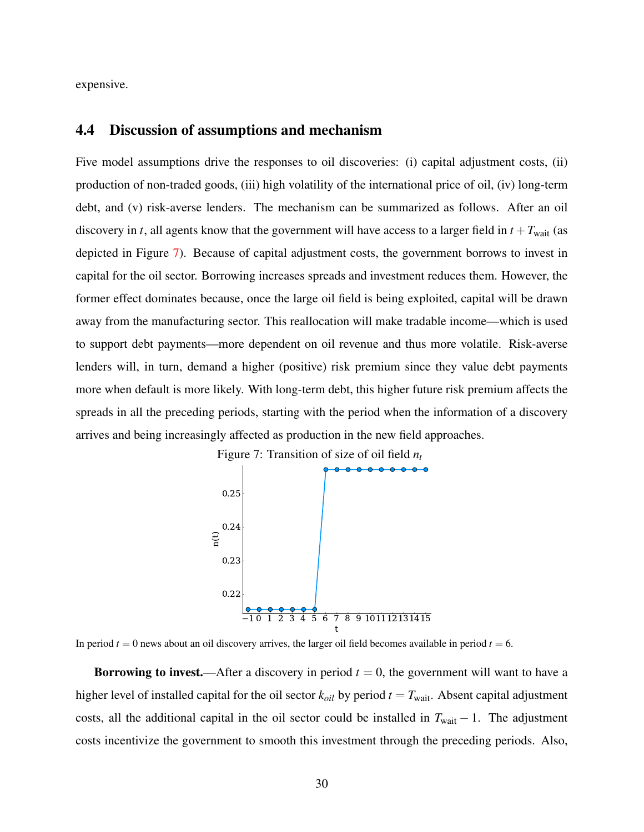expensive.

#### <span id="page-30-0"></span>4.4 Discussion of assumptions and mechanism

Five model assumptions drive the responses to oil discoveries: (i) capital adjustment costs, (ii) production of non-traded goods, (iii) high volatility of the international price of oil, (iv) long-term debt, and (v) risk-averse lenders. The mechanism can be summarized as follows. After an oil discovery in *t*, all agents know that the government will have access to a larger field in  $t + T_{wait}$  (as depicted in Figure [7\)](#page-30-1). Because of capital adjustment costs, the government borrows to invest in capital for the oil sector. Borrowing increases spreads and investment reduces them. However, the former effect dominates because, once the large oil field is being exploited, capital will be drawn away from the manufacturing sector. This reallocation will make tradable income—which is used to support debt payments—more dependent on oil revenue and thus more volatile. Risk-averse lenders will, in turn, demand a higher (positive) risk premium since they value debt payments more when default is more likely. With long-term debt, this higher future risk premium affects the spreads in all the preceding periods, starting with the period when the information of a discovery arrives and being increasingly affected as production in the new field approaches.

<span id="page-30-1"></span>

In period  $t = 0$  news about an oil discovery arrives, the larger oil field becomes available in period  $t = 6$ .

**Borrowing to invest.**—After a discovery in period  $t = 0$ , the government will want to have a higher level of installed capital for the oil sector  $k_{oil}$  by period  $t = T_{wait}$ . Absent capital adjustment costs, all the additional capital in the oil sector could be installed in *T*wait − 1. The adjustment costs incentivize the government to smooth this investment through the preceding periods. Also,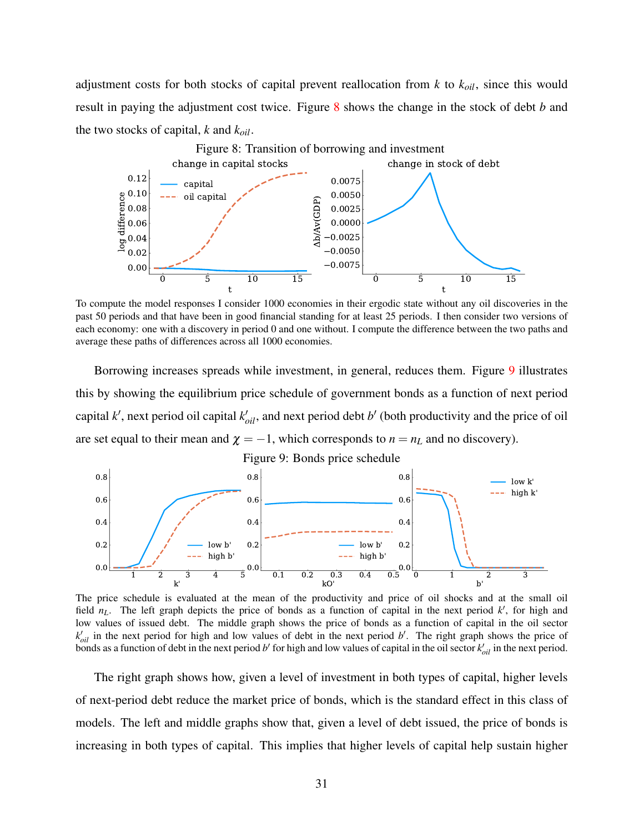adjustment costs for both stocks of capital prevent reallocation from  $k$  to  $k_{oil}$ , since this would result in paying the adjustment cost twice. Figure [8](#page-31-0) shows the change in the stock of debt *b* and the two stocks of capital, *k* and *koil*.

<span id="page-31-0"></span>

To compute the model responses I consider 1000 economies in their ergodic state without any oil discoveries in the past 50 periods and that have been in good financial standing for at least 25 periods. I then consider two versions of each economy: one with a discovery in period 0 and one without. I compute the difference between the two paths and average these paths of differences across all 1000 economies.

Borrowing increases spreads while investment, in general, reduces them. Figure [9](#page-31-1) illustrates this by showing the equilibrium price schedule of government bonds as a function of next period capital  $k'$ , next period oil capital  $k'_{oil}$ , and next period debt  $b'$  (both productivity and the price of oil are set equal to their mean and  $\chi = -1$ , which corresponds to  $n = n_L$  and no discovery).

Figure 9: Bonds price schedule

<span id="page-31-1"></span>

The price schedule is evaluated at the mean of the productivity and price of oil shocks and at the small oil field  $n<sub>L</sub>$ . The left graph depicts the price of bonds as a function of capital in the next period  $k'$ , for high and low values of issued debt. The middle graph shows the price of bonds as a function of capital in the oil sector  $k'_{oil}$  in the next period for high and low values of debt in the next period  $b'$ . The right graph shows the price of bonds as a function of debt in the next period  $b'$  for high and low values of capital in the oil sector  $k'_{oil}$  in the next period.

The right graph shows how, given a level of investment in both types of capital, higher levels of next-period debt reduce the market price of bonds, which is the standard effect in this class of models. The left and middle graphs show that, given a level of debt issued, the price of bonds is increasing in both types of capital. This implies that higher levels of capital help sustain higher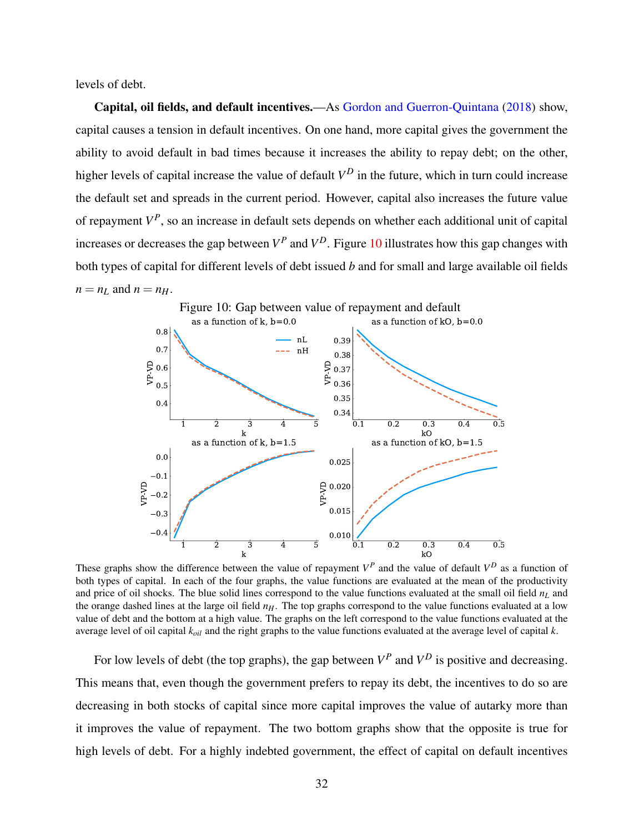<span id="page-32-1"></span>levels of debt.

Capital, oil fields, and default incentives.—As [Gordon and Guerron-Quintana](#page-42-4) [\(2018\)](#page-42-4) show, capital causes a tension in default incentives. On one hand, more capital gives the government the ability to avoid default in bad times because it increases the ability to repay debt; on the other, higher levels of capital increase the value of default *V <sup>D</sup>* in the future, which in turn could increase the default set and spreads in the current period. However, capital also increases the future value of repayment *V P* , so an increase in default sets depends on whether each additional unit of capital increases or decreases the gap between  $V^P$  and  $V^D$ . Figure [10](#page-32-0) illustrates how this gap changes with both types of capital for different levels of debt issued *b* and for small and large available oil fields  $n = n_L$  and  $n = n_H$ .

<span id="page-32-0"></span>

These graphs show the difference between the value of repayment  $V^P$  and the value of default  $V^D$  as a function of both types of capital. In each of the four graphs, the value functions are evaluated at the mean of the productivity and price of oil shocks. The blue solid lines correspond to the value functions evaluated at the small oil field  $n<sub>L</sub>$  and the orange dashed lines at the large oil field  $n<sub>H</sub>$ . The top graphs correspond to the value functions evaluated at a low value of debt and the bottom at a high value. The graphs on the left correspond to the value functions evaluated at the average level of oil capital *koil* and the right graphs to the value functions evaluated at the average level of capital *k*.

For low levels of debt (the top graphs), the gap between  $V^P$  and  $V^D$  is positive and decreasing. This means that, even though the government prefers to repay its debt, the incentives to do so are decreasing in both stocks of capital since more capital improves the value of autarky more than it improves the value of repayment. The two bottom graphs show that the opposite is true for high levels of debt. For a highly indebted government, the effect of capital on default incentives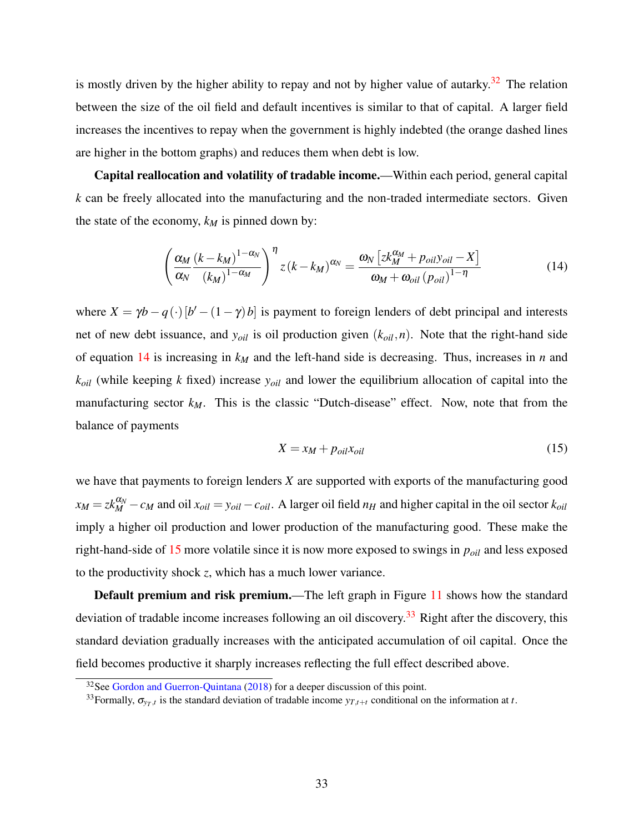<span id="page-33-4"></span>is mostly driven by the higher ability to repay and not by higher value of autarky.<sup>[32](#page-33-0)</sup> The relation between the size of the oil field and default incentives is similar to that of capital. A larger field increases the incentives to repay when the government is highly indebted (the orange dashed lines are higher in the bottom graphs) and reduces them when debt is low.

Capital reallocation and volatility of tradable income.—Within each period, general capital *k* can be freely allocated into the manufacturing and the non-traded intermediate sectors. Given the state of the economy,  $k_M$  is pinned down by:

<span id="page-33-1"></span>
$$
\left(\frac{\alpha_M}{\alpha_N}\frac{(k-k_M)^{1-\alpha_N}}{(k_M)^{1-\alpha_M}}\right)^{\eta} z(k-k_M)^{\alpha_N} = \frac{\omega_N \left[zk_M^{\alpha_M} + p_{oil}y_{oil} - X\right]}{\omega_M + \omega_{oil} \left(p_{oil}\right)^{1-\eta}}
$$
(14)

where  $X = \gamma b - q(.)$  [ $b' - (1 - \gamma) b$ ] is payment to foreign lenders of debt principal and interests net of new debt issuance, and *yoil* is oil production given (*koil*,*n*). Note that the right-hand side of equation [14](#page-33-1) is increasing in *k<sup>M</sup>* and the left-hand side is decreasing. Thus, increases in *n* and *koil* (while keeping *k* fixed) increase *yoil* and lower the equilibrium allocation of capital into the manufacturing sector *kM*. This is the classic "Dutch-disease" effect. Now, note that from the balance of payments

<span id="page-33-2"></span>
$$
X = x_M + p_{oil}x_{oil} \tag{15}
$$

we have that payments to foreign lenders *X* are supported with exports of the manufacturing good  $x_M = zk_M^{\alpha_N} - c_M$  and oil  $x_{oil} = y_{oil} - c_{oil}$ . A larger oil field  $n_H$  and higher capital in the oil sector  $k_{oil}$ imply a higher oil production and lower production of the manufacturing good. These make the right-hand-side of [15](#page-33-2) more volatile since it is now more exposed to swings in *poil* and less exposed to the productivity shock *z*, which has a much lower variance.

**Default premium and risk premium.**—The left graph in Figure [11](#page-34-0) shows how the standard deviation of tradable income increases following an oil discovery.<sup>[33](#page-33-3)</sup> Right after the discovery, this standard deviation gradually increases with the anticipated accumulation of oil capital. Once the field becomes productive it sharply increases reflecting the full effect described above.

<span id="page-33-0"></span> $32$ See [Gordon and Guerron-Quintana](#page-42-4) [\(2018\)](#page-42-4) for a deeper discussion of this point.

<span id="page-33-3"></span><sup>&</sup>lt;sup>33</sup> Formally,  $\sigma_{y_T,t}$  is the standard deviation of tradable income  $y_{T,t+t}$  conditional on the information at *t*.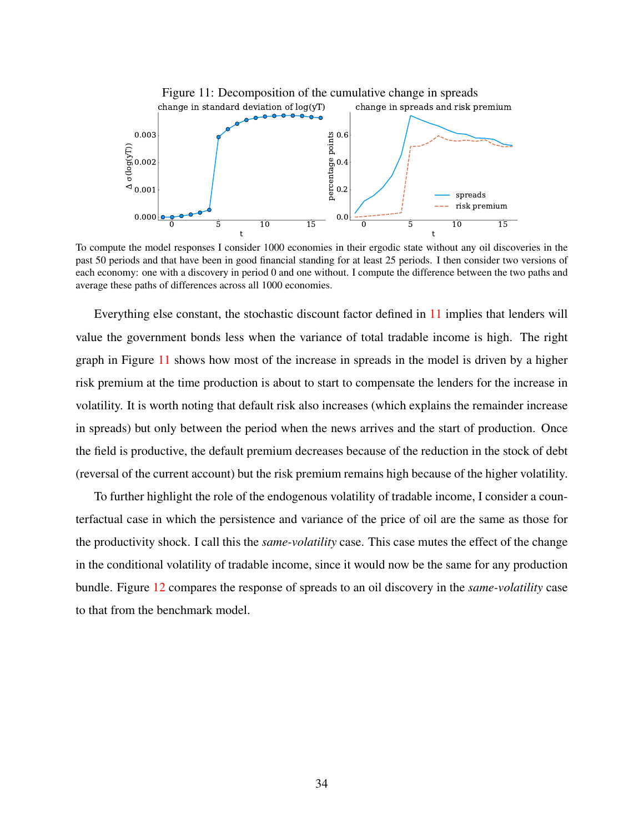<span id="page-34-0"></span>

To compute the model responses I consider 1000 economies in their ergodic state without any oil discoveries in the past 50 periods and that have been in good financial standing for at least 25 periods. I then consider two versions of each economy: one with a discovery in period 0 and one without. I compute the difference between the two paths and average these paths of differences across all 1000 economies.

Everything else constant, the stochastic discount factor defined in [11](#page-20-1) implies that lenders will value the government bonds less when the variance of total tradable income is high. The right graph in Figure [11](#page-34-0) shows how most of the increase in spreads in the model is driven by a higher risk premium at the time production is about to start to compensate the lenders for the increase in volatility. It is worth noting that default risk also increases (which explains the remainder increase in spreads) but only between the period when the news arrives and the start of production. Once the field is productive, the default premium decreases because of the reduction in the stock of debt (reversal of the current account) but the risk premium remains high because of the higher volatility.

To further highlight the role of the endogenous volatility of tradable income, I consider a counterfactual case in which the persistence and variance of the price of oil are the same as those for the productivity shock. I call this the *same-volatility* case. This case mutes the effect of the change in the conditional volatility of tradable income, since it would now be the same for any production bundle. Figure [12](#page-35-0) compares the response of spreads to an oil discovery in the *same-volatility* case to that from the benchmark model.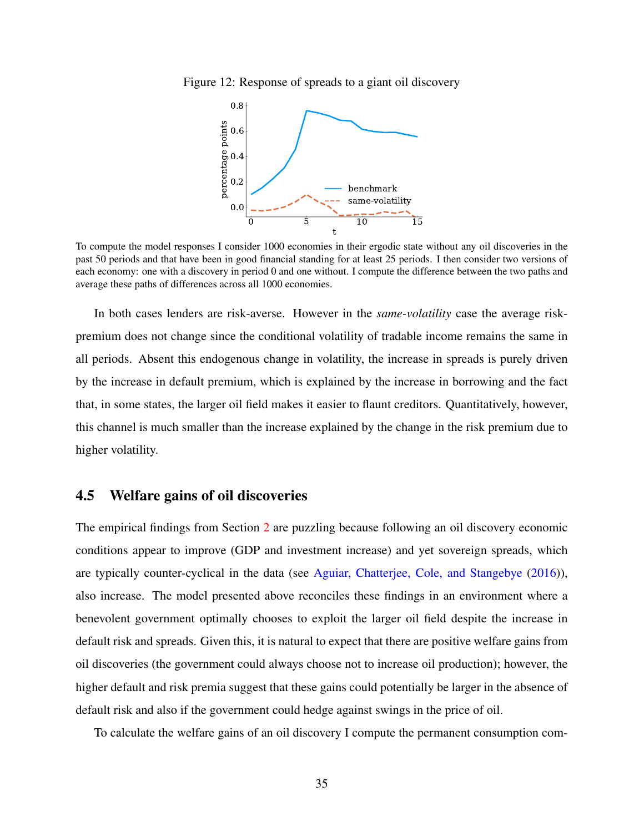<span id="page-35-1"></span><span id="page-35-0"></span>Figure 12: Response of spreads to a giant oil discovery



To compute the model responses I consider 1000 economies in their ergodic state without any oil discoveries in the past 50 periods and that have been in good financial standing for at least 25 periods. I then consider two versions of each economy: one with a discovery in period 0 and one without. I compute the difference between the two paths and average these paths of differences across all 1000 economies.

In both cases lenders are risk-averse. However in the *same-volatility* case the average riskpremium does not change since the conditional volatility of tradable income remains the same in all periods. Absent this endogenous change in volatility, the increase in spreads is purely driven by the increase in default premium, which is explained by the increase in borrowing and the fact that, in some states, the larger oil field makes it easier to flaunt creditors. Quantitatively, however, this channel is much smaller than the increase explained by the change in the risk premium due to higher volatility.

#### 4.5 Welfare gains of oil discoveries

The empirical findings from Section [2](#page-6-0) are puzzling because following an oil discovery economic conditions appear to improve (GDP and investment increase) and yet sovereign spreads, which are typically counter-cyclical in the data (see [Aguiar, Chatterjee, Cole, and Stangebye](#page-40-7) [\(2016\)](#page-40-7)), also increase. The model presented above reconciles these findings in an environment where a benevolent government optimally chooses to exploit the larger oil field despite the increase in default risk and spreads. Given this, it is natural to expect that there are positive welfare gains from oil discoveries (the government could always choose not to increase oil production); however, the higher default and risk premia suggest that these gains could potentially be larger in the absence of default risk and also if the government could hedge against swings in the price of oil.

To calculate the welfare gains of an oil discovery I compute the permanent consumption com-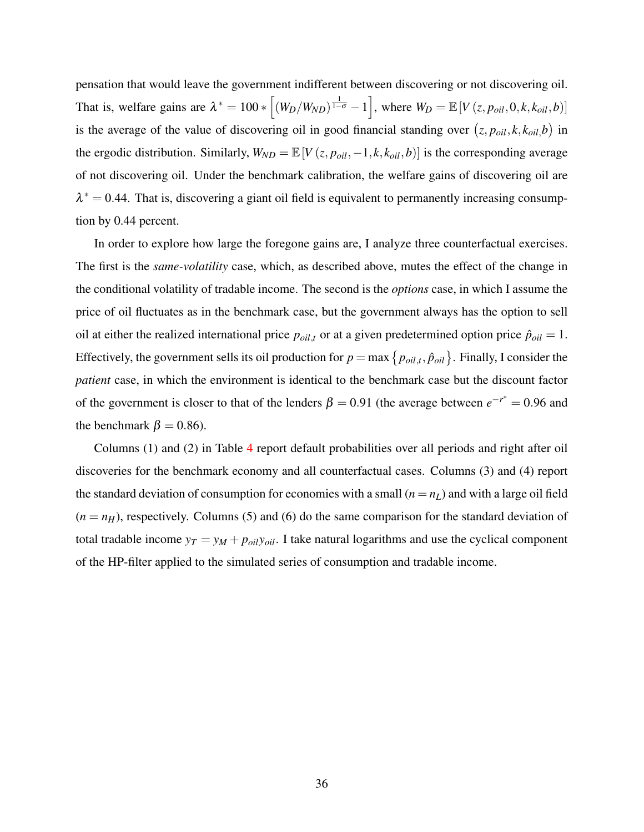pensation that would leave the government indifferent between discovering or not discovering oil. That is, welfare gains are  $\lambda^* = 100 * [(W_D/W_{ND})^{\frac{1}{1-\sigma}} - 1]$ , where  $W_D = \mathbb{E}[V(z, p_{oil}, 0, k, k_{oil}, b)]$ is the average of the value of discovering oil in good financial standing over  $(z, p_{oil}, k, k_{oil}, b)$  in the ergodic distribution. Similarly,  $W_{ND} = \mathbb{E}[V(z, p_{oil},-1, k, k_{oil}, b)]$  is the corresponding average of not discovering oil. Under the benchmark calibration, the welfare gains of discovering oil are  $\lambda^* = 0.44$ . That is, discovering a giant oil field is equivalent to permanently increasing consumption by 0.44 percent.

In order to explore how large the foregone gains are, I analyze three counterfactual exercises. The first is the *same-volatility* case, which, as described above, mutes the effect of the change in the conditional volatility of tradable income. The second is the *options* case, in which I assume the price of oil fluctuates as in the benchmark case, but the government always has the option to sell oil at either the realized international price  $p_{oil,t}$  or at a given predetermined option price  $\hat{p}_{oil} = 1$ . Effectively, the government sells its oil production for  $p = \max\{p_{oil,t}, \hat{p}_{oil}\}$ . Finally, I consider the *patient* case, in which the environment is identical to the benchmark case but the discount factor of the government is closer to that of the lenders  $\beta = 0.91$  (the average between  $e^{-r^*} = 0.96$  and the benchmark  $\beta = 0.86$ ).

Columns (1) and (2) in Table [4](#page-37-0) report default probabilities over all periods and right after oil discoveries for the benchmark economy and all counterfactual cases. Columns (3) and (4) report the standard deviation of consumption for economies with a small  $(n = n_L)$  and with a large oil field  $(n = n_H)$ , respectively. Columns (5) and (6) do the same comparison for the standard deviation of total tradable income  $y_T = y_M + p_{oil}y_{oil}$ . I take natural logarithms and use the cyclical component of the HP-filter applied to the simulated series of consumption and tradable income.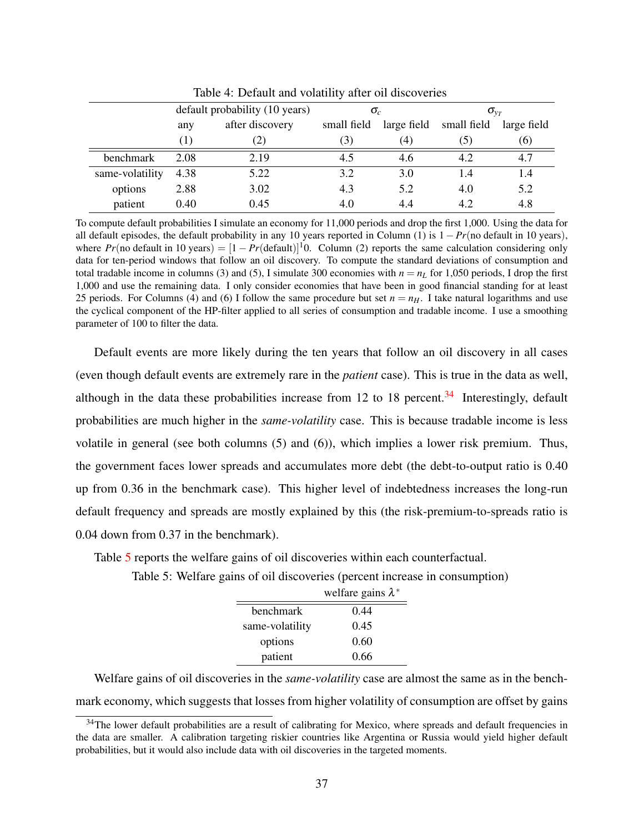<span id="page-37-0"></span>

|                 | default probability (10 years) |                 | $\sigma_{\rm c}$ |             | $\sigma_{v_{T}}$ |             |
|-----------------|--------------------------------|-----------------|------------------|-------------|------------------|-------------|
|                 | any                            | after discovery | small field      | large field | small field      | large field |
|                 | $\left(1\right)$               |                 | 3)               | (4)         | (5)              | (6)         |
| benchmark       | 2.08                           | 2.19            | 4.5              | 4.6         | 4.2              | 4.7         |
| same-volatility | 4.38                           | 5.22            | 3.2              | 3.0         | 1.4              | 1.4         |
| options         | 2.88                           | 3.02            | 4.3              | 5.2         | 4.0              | 5.2         |
| patient         | 0.40                           | 0.45            | 4.0              | 4.4         | 4.2              | 4.8         |

Table 4: Default and volatility after oil discoveries

To compute default probabilities I simulate an economy for 11,000 periods and drop the first 1,000. Using the data for all default episodes, the default probability in any 10 years reported in Column (1) is 1−*Pr*(no default in 10 years), where  $Pr(\text{no default in 10 years}) = [1 - Pr(detault)]^{10}$ . Column (2) reports the same calculation considering only data for ten-period windows that follow an oil discovery. To compute the standard deviations of consumption and total tradable income in columns (3) and (5), I simulate 300 economies with  $n = n<sub>L</sub>$  for 1,050 periods, I drop the first 1,000 and use the remaining data. I only consider economies that have been in good financial standing for at least 25 periods. For Columns (4) and (6) I follow the same procedure but set  $n = n<sub>H</sub>$ . I take natural logarithms and use the cyclical component of the HP-filter applied to all series of consumption and tradable income. I use a smoothing parameter of 100 to filter the data.

Default events are more likely during the ten years that follow an oil discovery in all cases (even though default events are extremely rare in the *patient* case). This is true in the data as well, although in the data these probabilities increase from 12 to 18 percent.<sup>[34](#page-37-1)</sup> Interestingly, default probabilities are much higher in the *same-volatility* case. This is because tradable income is less volatile in general (see both columns (5) and (6)), which implies a lower risk premium. Thus, the government faces lower spreads and accumulates more debt (the debt-to-output ratio is 0.40 up from 0.36 in the benchmark case). This higher level of indebtedness increases the long-run default frequency and spreads are mostly explained by this (the risk-premium-to-spreads ratio is 0.04 down from 0.37 in the benchmark).

<span id="page-37-2"></span>Table [5](#page-37-2) reports the welfare gains of oil discoveries within each counterfactual.

|                 | welfare gains $\lambda^*$ |
|-----------------|---------------------------|
| benchmark       | 0.44                      |
| same-volatility | 0.45                      |
| options         | 0.60                      |
| patient         | 0.66                      |

Table 5: Welfare gains of oil discoveries (percent increase in consumption)

Welfare gains of oil discoveries in the *same-volatility* case are almost the same as in the benchmark economy, which suggests that losses from higher volatility of consumption are offset by gains

<span id="page-37-1"></span> $34$ The lower default probabilities are a result of calibrating for Mexico, where spreads and default frequencies in the data are smaller. A calibration targeting riskier countries like Argentina or Russia would yield higher default probabilities, but it would also include data with oil discoveries in the targeted moments.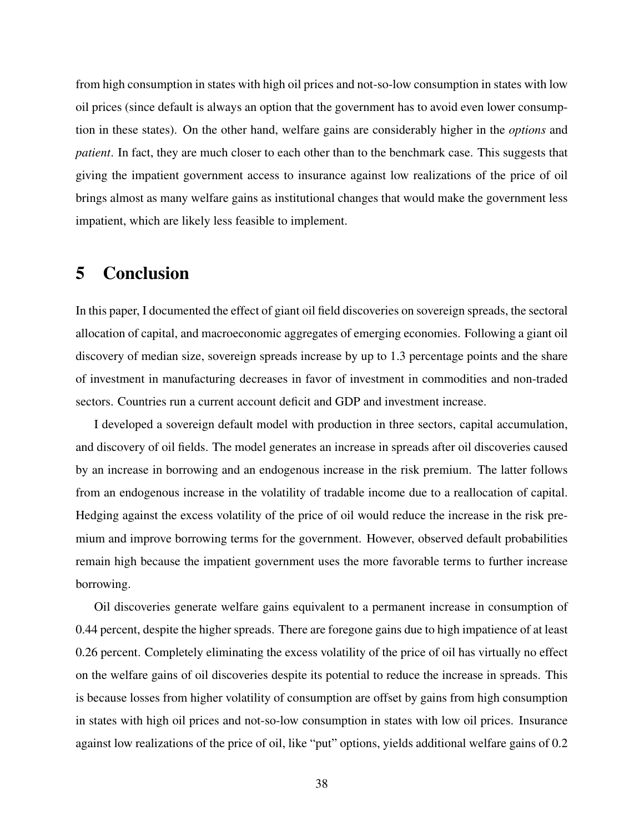from high consumption in states with high oil prices and not-so-low consumption in states with low oil prices (since default is always an option that the government has to avoid even lower consumption in these states). On the other hand, welfare gains are considerably higher in the *options* and *patient*. In fact, they are much closer to each other than to the benchmark case. This suggests that giving the impatient government access to insurance against low realizations of the price of oil brings almost as many welfare gains as institutional changes that would make the government less impatient, which are likely less feasible to implement.

## <span id="page-38-0"></span>5 Conclusion

In this paper, I documented the effect of giant oil field discoveries on sovereign spreads, the sectoral allocation of capital, and macroeconomic aggregates of emerging economies. Following a giant oil discovery of median size, sovereign spreads increase by up to 1.3 percentage points and the share of investment in manufacturing decreases in favor of investment in commodities and non-traded sectors. Countries run a current account deficit and GDP and investment increase.

I developed a sovereign default model with production in three sectors, capital accumulation, and discovery of oil fields. The model generates an increase in spreads after oil discoveries caused by an increase in borrowing and an endogenous increase in the risk premium. The latter follows from an endogenous increase in the volatility of tradable income due to a reallocation of capital. Hedging against the excess volatility of the price of oil would reduce the increase in the risk premium and improve borrowing terms for the government. However, observed default probabilities remain high because the impatient government uses the more favorable terms to further increase borrowing.

Oil discoveries generate welfare gains equivalent to a permanent increase in consumption of 0.44 percent, despite the higher spreads. There are foregone gains due to high impatience of at least 0.26 percent. Completely eliminating the excess volatility of the price of oil has virtually no effect on the welfare gains of oil discoveries despite its potential to reduce the increase in spreads. This is because losses from higher volatility of consumption are offset by gains from high consumption in states with high oil prices and not-so-low consumption in states with low oil prices. Insurance against low realizations of the price of oil, like "put" options, yields additional welfare gains of 0.2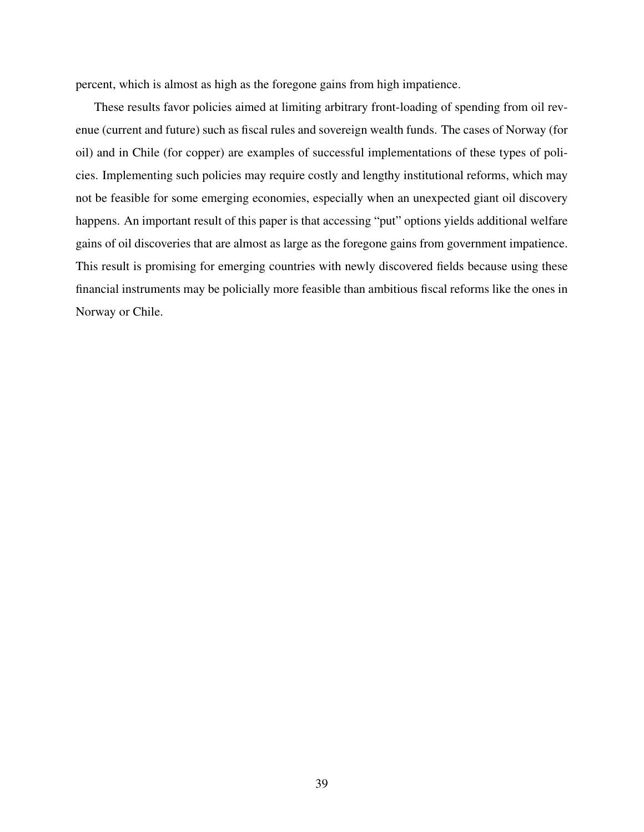percent, which is almost as high as the foregone gains from high impatience.

These results favor policies aimed at limiting arbitrary front-loading of spending from oil revenue (current and future) such as fiscal rules and sovereign wealth funds. The cases of Norway (for oil) and in Chile (for copper) are examples of successful implementations of these types of policies. Implementing such policies may require costly and lengthy institutional reforms, which may not be feasible for some emerging economies, especially when an unexpected giant oil discovery happens. An important result of this paper is that accessing "put" options yields additional welfare gains of oil discoveries that are almost as large as the foregone gains from government impatience. This result is promising for emerging countries with newly discovered fields because using these financial instruments may be policially more feasible than ambitious fiscal reforms like the ones in Norway or Chile.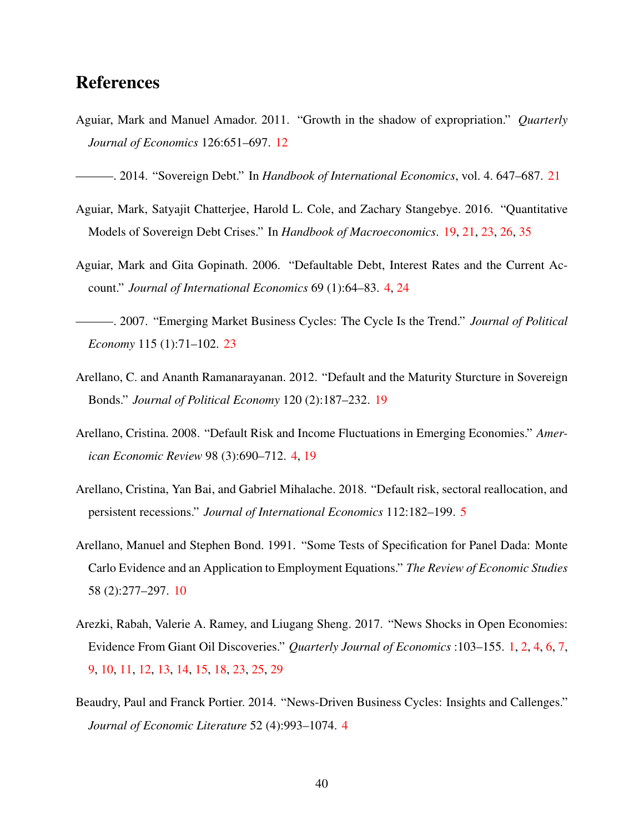## References

<span id="page-40-6"></span>Aguiar, Mark and Manuel Amador. 2011. "Growth in the shadow of expropriation." *Quarterly Journal of Economics* 126:651–697. [12](#page-12-3)

- <span id="page-40-7"></span>Aguiar, Mark, Satyajit Chatterjee, Harold L. Cole, and Zachary Stangebye. 2016. "Quantitative Models of Sovereign Debt Crises." In *Handbook of Macroeconomics*. [19,](#page-19-3) [21,](#page-21-1) [23,](#page-23-2) [26,](#page-26-1) [35](#page-35-1)
- <span id="page-40-2"></span>Aguiar, Mark and Gita Gopinath. 2006. "Defaultable Debt, Interest Rates and the Current Account." *Journal of International Economics* 69 (1):64–83. [4,](#page-4-1) [24](#page-24-2)

<span id="page-40-10"></span>———. 2007. "Emerging Market Business Cycles: The Cycle Is the Trend." *Journal of Political Economy* 115 (1):71–102. [23](#page-23-2)

- <span id="page-40-8"></span>Arellano, C. and Ananth Ramanarayanan. 2012. "Default and the Maturity Sturcture in Sovereign Bonds." *Journal of Political Economy* 120 (2):187–232. [19](#page-19-3)
- <span id="page-40-3"></span>Arellano, Cristina. 2008. "Default Risk and Income Fluctuations in Emerging Economies." *American Economic Review* 98 (3):690–712. [4,](#page-4-1) [19](#page-19-3)
- <span id="page-40-4"></span>Arellano, Cristina, Yan Bai, and Gabriel Mihalache. 2018. "Default risk, sectoral reallocation, and persistent recessions." *Journal of International Economics* 112:182–199. [5](#page-5-0)
- <span id="page-40-5"></span>Arellano, Manuel and Stephen Bond. 1991. "Some Tests of Specification for Panel Dada: Monte Carlo Evidence and an Application to Employment Equations." *The Review of Economic Studies* 58 (2):277–297. [10](#page-10-5)
- <span id="page-40-0"></span>Arezki, Rabah, Valerie A. Ramey, and Liugang Sheng. 2017. "News Shocks in Open Economies: Evidence From Giant Oil Discoveries." *Quarterly Journal of Economics* :103–155. [1,](#page-0-0) [2,](#page-2-2) [4,](#page-4-1) [6,](#page-6-2) [7,](#page-7-4) [9,](#page-9-1) [10,](#page-10-5) [11,](#page-11-0) [12,](#page-12-3) [13,](#page-13-2) [14,](#page-14-2) [15,](#page-15-1) [18,](#page-18-3) [23,](#page-23-2) [25,](#page-25-2) [29](#page-29-1)
- <span id="page-40-1"></span>Beaudry, Paul and Franck Portier. 2014. "News-Driven Business Cycles: Insights and Callenges." *Journal of Economic Literature* 52 (4):993–1074. [4](#page-4-1)

<span id="page-40-9"></span><sup>———. 2014. &</sup>quot;Sovereign Debt." In *Handbook of International Economics*, vol. 4. 647–687. [21](#page-21-1)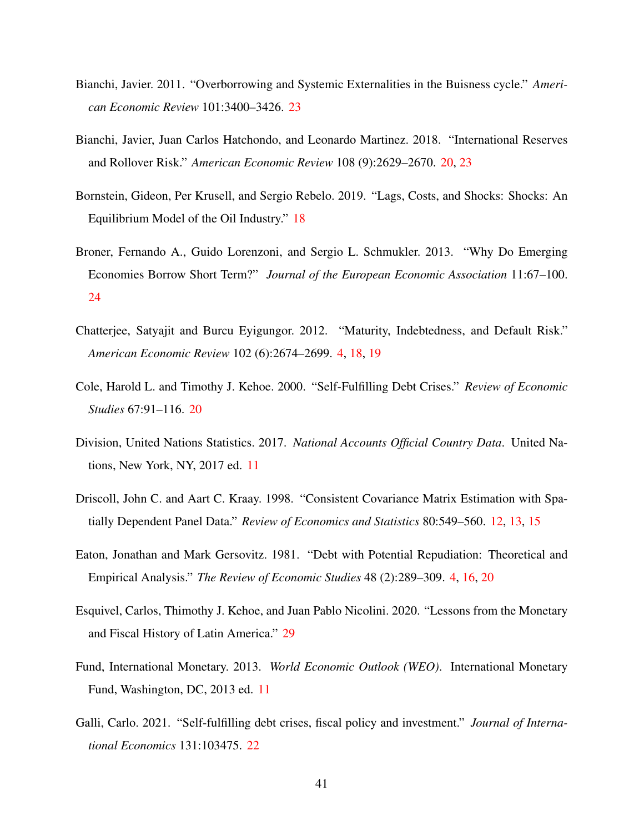- <span id="page-41-9"></span>Bianchi, Javier. 2011. "Overborrowing and Systemic Externalities in the Buisness cycle." *American Economic Review* 101:3400–3426. [23](#page-23-2)
- <span id="page-41-6"></span>Bianchi, Javier, Juan Carlos Hatchondo, and Leonardo Martinez. 2018. "International Reserves and Rollover Risk." *American Economic Review* 108 (9):2629–2670. [20,](#page-20-2) [23](#page-23-2)
- <span id="page-41-5"></span>Bornstein, Gideon, Per Krusell, and Sergio Rebelo. 2019. "Lags, Costs, and Shocks: Shocks: An Equilibrium Model of the Oil Industry." [18](#page-18-3)
- <span id="page-41-10"></span>Broner, Fernando A., Guido Lorenzoni, and Sergio L. Schmukler. 2013. "Why Do Emerging Economies Borrow Short Term?" *Journal of the European Economic Association* 11:67–100. [24](#page-24-2)
- <span id="page-41-1"></span>Chatterjee, Satyajit and Burcu Eyigungor. 2012. "Maturity, Indebtedness, and Default Risk." *American Economic Review* 102 (6):2674–2699. [4,](#page-4-1) [18,](#page-18-3) [19](#page-19-3)
- <span id="page-41-7"></span>Cole, Harold L. and Timothy J. Kehoe. 2000. "Self-Fulfilling Debt Crises." *Review of Economic Studies* 67:91–116. [20](#page-20-2)
- <span id="page-41-3"></span>Division, United Nations Statistics. 2017. *National Accounts Official Country Data*. United Nations, New York, NY, 2017 ed. [11](#page-11-0)
- <span id="page-41-4"></span>Driscoll, John C. and Aart C. Kraay. 1998. "Consistent Covariance Matrix Estimation with Spatially Dependent Panel Data." *Review of Economics and Statistics* 80:549–560. [12,](#page-12-3) [13,](#page-13-2) [15](#page-15-1)
- <span id="page-41-0"></span>Eaton, Jonathan and Mark Gersovitz. 1981. "Debt with Potential Repudiation: Theoretical and Empirical Analysis." *The Review of Economic Studies* 48 (2):289–309. [4,](#page-4-1) [16,](#page-16-5) [20](#page-20-2)
- <span id="page-41-11"></span>Esquivel, Carlos, Thimothy J. Kehoe, and Juan Pablo Nicolini. 2020. "Lessons from the Monetary and Fiscal History of Latin America." [29](#page-29-1)
- <span id="page-41-2"></span>Fund, International Monetary. 2013. *World Economic Outlook (WEO)*. International Monetary Fund, Washington, DC, 2013 ed. [11](#page-11-0)
- <span id="page-41-8"></span>Galli, Carlo. 2021. "Self-fulfilling debt crises, fiscal policy and investment." *Journal of International Economics* 131:103475. [22](#page-22-3)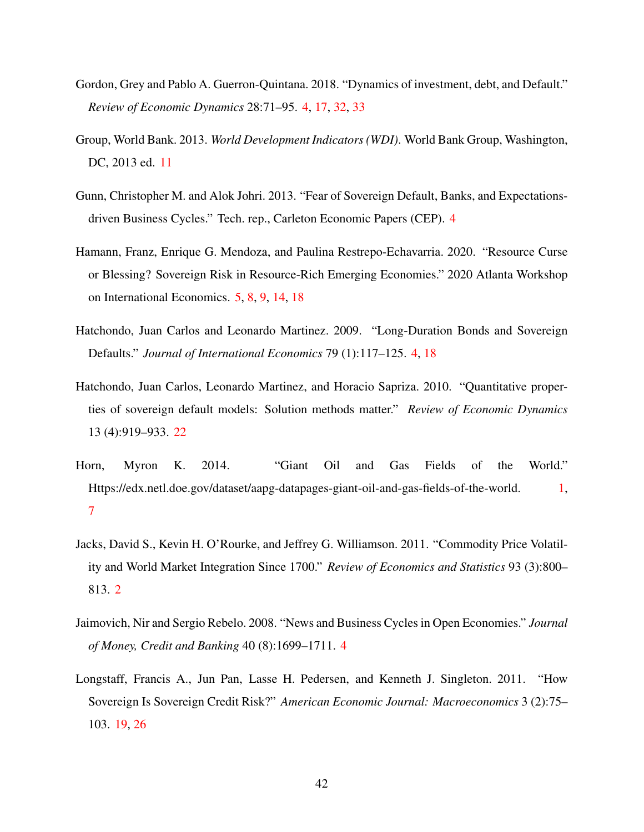- <span id="page-42-4"></span>Gordon, Grey and Pablo A. Guerron-Quintana. 2018. "Dynamics of investment, debt, and Default." *Review of Economic Dynamics* 28:71–95. [4,](#page-4-1) [17,](#page-17-4) [32,](#page-32-1) [33](#page-33-4)
- <span id="page-42-7"></span>Group, World Bank. 2013. *World Development Indicators (WDI)*. World Bank Group, Washington, DC, 2013 ed. [11](#page-11-0)
- <span id="page-42-5"></span>Gunn, Christopher M. and Alok Johri. 2013. "Fear of Sovereign Default, Banks, and Expectationsdriven Business Cycles." Tech. rep., Carleton Economic Papers (CEP). [4](#page-4-1)
- <span id="page-42-6"></span>Hamann, Franz, Enrique G. Mendoza, and Paulina Restrepo-Echavarria. 2020. "Resource Curse or Blessing? Sovereign Risk in Resource-Rich Emerging Economies." 2020 Atlanta Workshop on International Economics. [5,](#page-5-0) [8,](#page-8-2) [9,](#page-9-1) [14,](#page-14-2) [18](#page-18-3)
- <span id="page-42-3"></span>Hatchondo, Juan Carlos and Leonardo Martinez. 2009. "Long-Duration Bonds and Sovereign Defaults." *Journal of International Economics* 79 (1):117–125. [4,](#page-4-1) [18](#page-18-3)
- <span id="page-42-9"></span>Hatchondo, Juan Carlos, Leonardo Martinez, and Horacio Sapriza. 2010. "Quantitative properties of sovereign default models: Solution methods matter." *Review of Economic Dynamics* 13 (4):919–933. [22](#page-22-3)
- <span id="page-42-0"></span>Horn, Myron K. 2014. "Giant Oil and Gas Fields of the World." Https://edx.netl.doe.gov/dataset/aapg-datapages-giant-oil-and-gas-fields-of-the-world. [1,](#page-0-0) [7](#page-7-4)
- <span id="page-42-1"></span>Jacks, David S., Kevin H. O'Rourke, and Jeffrey G. Williamson. 2011. "Commodity Price Volatility and World Market Integration Since 1700." *Review of Economics and Statistics* 93 (3):800– 813. [2](#page-2-2)
- <span id="page-42-2"></span>Jaimovich, Nir and Sergio Rebelo. 2008. "News and Business Cycles in Open Economies." *Journal of Money, Credit and Banking* 40 (8):1699–1711. [4](#page-4-1)
- <span id="page-42-8"></span>Longstaff, Francis A., Jun Pan, Lasse H. Pedersen, and Kenneth J. Singleton. 2011. "How Sovereign Is Sovereign Credit Risk?" *American Economic Journal: Macroeconomics* 3 (2):75– 103. [19,](#page-19-3) [26](#page-26-1)